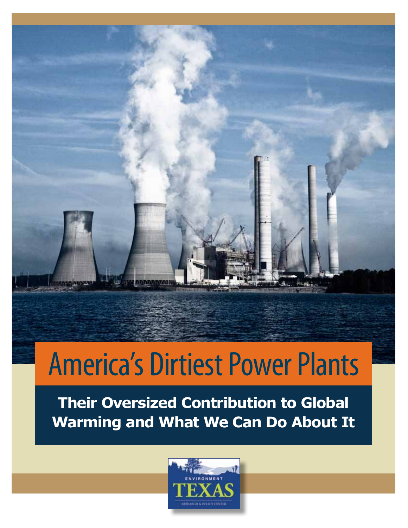# America's Dirtiest Power Plants

**Their Oversized Contribution to Global Warming and What We Can Do About It**

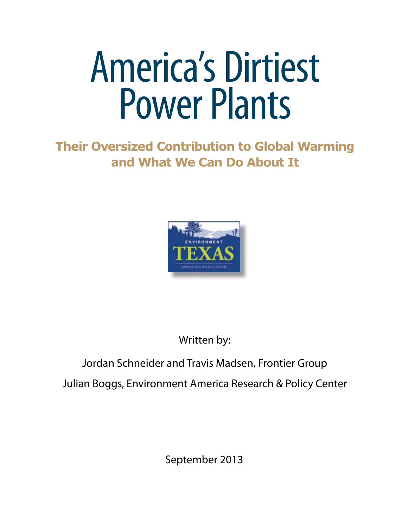# America's Dirtiest Power Plants

### **Their Oversized Contribution to Global Warming and What We Can Do About It**



Written by:

### Jordan Schneider and Travis Madsen, Frontier Group Julian Boggs, Environment America Research & Policy Center

September 2013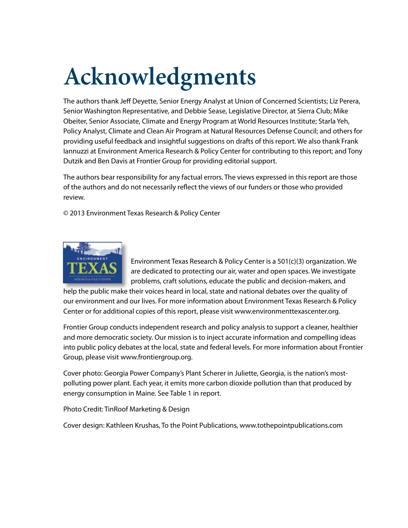# **Acknowledgments**

The authors thank Jeff Deyette, Senior Energy Analyst at Union of Concerned Scientists; Liz Perera, Senior Washington Representative, and Debbie Sease, Legislative Director, at Sierra Club; Mike Obeiter, Senior Associate, Climate and Energy Program at World Resources Institute; Starla Yeh, Policy Analyst, Climate and Clean Air Program at Natural Resources Defense Council; and others for providing useful feedback and insightful suggestions on drafts of this report. We also thank Frank Iannuzzi at Environment America Research & Policy Center for contributing to this report; and Tony Dutzik and Ben Davis at Frontier Group for providing editorial support.

The authors bear responsibility for any factual errors. The views expressed in this report are those of the authors and do not necessarily reflect the views of our funders or those who provided review.

© 2013 Environment Texas Research & Policy Center



Environment Texas Research & Policy Center is a 501(c)(3) organization. We are dedicated to protecting our air, water and open spaces. We investigate problems, craft solutions, educate the public and decision-makers, and

help the public make their voices heard in local, state and national debates over the quality of our environment and our lives. For more information about Environment Texas Research & Policy Center or for additional copies of this report, please visit www.environmenttexascenter.org.

Frontier Group conducts independent research and policy analysis to support a cleaner, healthier and more democratic society. Our mission is to inject accurate information and compelling ideas into public policy debates at the local, state and federal levels. For more information about Frontier Group, please visit www.frontiergroup.org.

Cover photo: Georgia Power Company's Plant Scherer in Juliette, Georgia, is the nation's mostpolluting power plant. Each year, it emits more carbon dioxide pollution than that produced by energy consumption in Maine. See Table 1 in report.

Photo Credit: TinRoof Marketing & Design

Cover design: Kathleen Krushas, To the Point Publications, www.tothepointpublications.com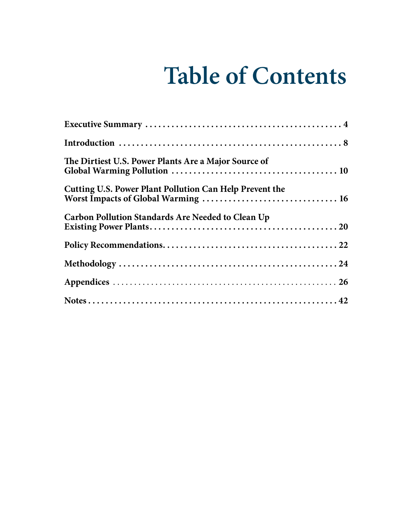## **Table of Contents**

| The Dirtiest U.S. Power Plants Are a Major Source of    |
|---------------------------------------------------------|
| Cutting U.S. Power Plant Pollution Can Help Prevent the |
| Carbon Pollution Standards Are Needed to Clean Up       |
|                                                         |
|                                                         |
|                                                         |
|                                                         |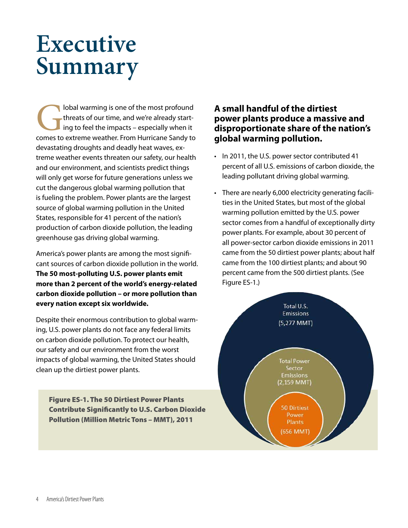### **Executive Summary**

**Comes is one of the most profound threats of our time, and we're already starting to feel the impacts – especially when it comes to extreme weather. From Hurricane Sandy to** threats of our time, and we're already starting to feel the impacts – especially when it devastating droughts and deadly heat waves, extreme weather events threaten our safety, our health and our environment, and scientists predict things will only get worse for future generations unless we cut the dangerous global warming pollution that is fueling the problem. Power plants are the largest source of global warming pollution in the United States, responsible for 41 percent of the nation's production of carbon dioxide pollution, the leading greenhouse gas driving global warming.

America's power plants are among the most significant sources of carbon dioxide pollution in the world. **The 50 most-polluting U.S. power plants emit more than 2 percent of the world's energy-related carbon dioxide pollution – or more pollution than every nation except six worldwide.** 

Despite their enormous contribution to global warming, U.S. power plants do not face any federal limits on carbon dioxide pollution. To protect our health, our safety and our environment from the worst impacts of global warming, the United States should clean up the dirtiest power plants.

Figure ES-1. The 50 Dirtiest Power Plants Contribute Significantly to U.S. Carbon Dioxide Pollution (Million Metric Tons – MMT), 2011

### **A small handful of the dirtiest power plants produce a massive and disproportionate share of the nation's global warming pollution.**

- In 2011, the U.S. power sector contributed 41 percent of all U.S. emissions of carbon dioxide, the leading pollutant driving global warming.
- There are nearly 6,000 electricity generating facilities in the United States, but most of the global warming pollution emitted by the U.S. power sector comes from a handful of exceptionally dirty power plants. For example, about 30 percent of all power-sector carbon dioxide emissions in 2011 came from the 50 dirtiest power plants; about half came from the 100 dirtiest plants; and about 90 percent came from the 500 dirtiest plants. (See Figure ES-1.)

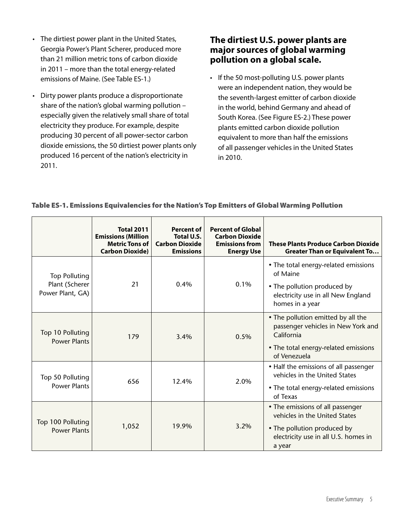- The dirtiest power plant in the United States, Georgia Power's Plant Scherer, produced more than 21 million metric tons of carbon dioxide in 2011 – more than the total energy-related emissions of Maine. (See Table ES-1.)
- Dirty power plants produce a disproportionate share of the nation's global warming pollution – especially given the relatively small share of total electricity they produce. For example, despite producing 30 percent of all power-sector carbon dioxide emissions, the 50 dirtiest power plants only produced 16 percent of the nation's electricity in 2011.

### **The dirtiest U.S. power plants are major sources of global warming pollution on a global scale.**

• If the 50 most-polluting U.S. power plants were an independent nation, they would be the seventh-largest emitter of carbon dioxide in the world, behind Germany and ahead of South Korea. (See Figure ES-2.) These power plants emitted carbon dioxide pollution equivalent to more than half the emissions of all passenger vehicles in the United States in 2010.

|                                                            | <b>Total 2011</b><br><b>Emissions (Million</b><br><b>Metric Tons of</b><br><b>Carbon Dioxide)</b> | <b>Percent of</b><br>Total U.S.<br><b>Carbon Dioxide</b><br><b>Emissions</b> | <b>Percent of Global</b><br><b>Carbon Dioxide</b><br><b>Emissions from</b><br><b>Energy Use</b> | <b>These Plants Produce Carbon Dioxide</b><br><b>Greater Than or Equivalent To</b>                                                                 |
|------------------------------------------------------------|---------------------------------------------------------------------------------------------------|------------------------------------------------------------------------------|-------------------------------------------------------------------------------------------------|----------------------------------------------------------------------------------------------------------------------------------------------------|
| <b>Top Polluting</b><br>Plant (Scherer<br>Power Plant, GA) | 21                                                                                                | 0.4%                                                                         | 0.1%                                                                                            | • The total energy-related emissions<br>of Maine<br>• The pollution produced by<br>electricity use in all New England<br>homes in a year           |
| Top 10 Polluting<br><b>Power Plants</b>                    | 179                                                                                               | 3.4%                                                                         | 0.5%                                                                                            | • The pollution emitted by all the<br>passenger vehicles in New York and<br>California<br>• The total energy-related emissions<br>of Venezuela     |
| Top 50 Polluting<br><b>Power Plants</b>                    | 656                                                                                               | 12.4%                                                                        | 2.0%                                                                                            | • Half the emissions of all passenger<br>vehicles in the United States<br>• The total energy-related emissions<br>of Texas                         |
| Top 100 Polluting<br><b>Power Plants</b>                   | 1,052                                                                                             | 19.9%                                                                        | 3.2%                                                                                            | • The emissions of all passenger<br>vehicles in the United States<br>• The pollution produced by<br>electricity use in all U.S. homes in<br>a year |

#### Table ES-1. Emissions Equivalencies for the Nation's Top Emitters of Global Warming Pollution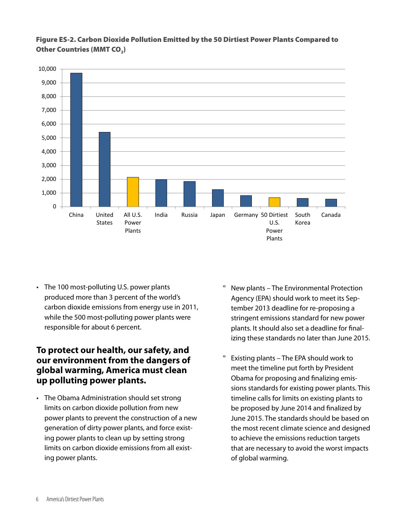

#### Figure ES-2. Carbon Dioxide Pollution Emitted by the 50 Dirtiest Power Plants Compared to Other Countries (MMT CO<sub>2</sub>)

• The 100 most-polluting U.S. power plants produced more than 3 percent of the world's carbon dioxide emissions from energy use in 2011, while the 500 most-polluting power plants were responsible for about 6 percent.

### **To protect our health, our safety, and our environment from the dangers of global warming, America must clean up polluting power plants.**

• The Obama Administration should set strong limits on carbon dioxide pollution from new power plants to prevent the construction of a new generation of dirty power plants, and force existing power plants to clean up by setting strong limits on carbon dioxide emissions from all existing power plants.

- New plants The Environmental Protection Agency (EPA) should work to meet its September 2013 deadline for re-proposing a stringent emissions standard for new power plants. It should also set a deadline for finalizing these standards no later than June 2015.
- Existing plants The EPA should work to meet the timeline put forth by President Obama for proposing and finalizing emissions standards for existing power plants. This timeline calls for limits on existing plants to be proposed by June 2014 and finalized by June 2015. The standards should be based on the most recent climate science and designed to achieve the emissions reduction targets that are necessary to avoid the worst impacts of global warming.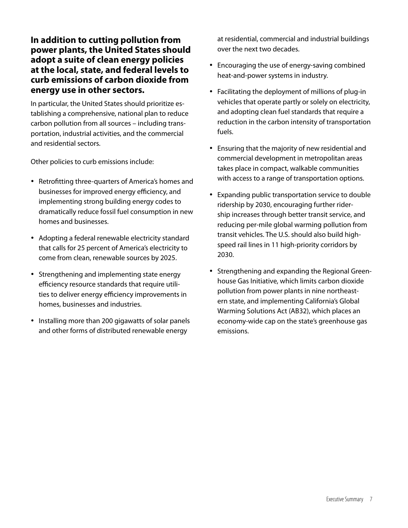### **In addition to cutting pollution from power plants, the United States should adopt a suite of clean energy policies at the local, state, and federal levels to curb emissions of carbon dioxide from energy use in other sectors.**

In particular, the United States should prioritize establishing a comprehensive, national plan to reduce carbon pollution from all sources – including transportation, industrial activities, and the commercial and residential sectors.

Other policies to curb emissions include:

- Retrofitting three-quarters of America's homes and businesses for improved energy efficiency, and implementing strong building energy codes to dramatically reduce fossil fuel consumption in new homes and businesses.
- • Adopting a federal renewable electricity standard that calls for 25 percent of America's electricity to come from clean, renewable sources by 2025.
- Strengthening and implementing state energy efficiency resource standards that require utilities to deliver energy efficiency improvements in homes, businesses and industries.
- Installing more than 200 gigawatts of solar panels and other forms of distributed renewable energy

at residential, commercial and industrial buildings over the next two decades.

- Encouraging the use of energy-saving combined heat-and-power systems in industry.
- Facilitating the deployment of millions of plug-in vehicles that operate partly or solely on electricity, and adopting clean fuel standards that require a reduction in the carbon intensity of transportation fuels.
- Ensuring that the majority of new residential and commercial development in metropolitan areas takes place in compact, walkable communities with access to a range of transportation options.
- Expanding public transportation service to double ridership by 2030, encouraging further ridership increases through better transit service, and reducing per-mile global warming pollution from transit vehicles. The U.S. should also build highspeed rail lines in 11 high-priority corridors by 2030.
- Strengthening and expanding the Regional Greenhouse Gas Initiative, which limits carbon dioxide pollution from power plants in nine northeastern state, and implementing California's Global Warming Solutions Act (AB32), which places an economy-wide cap on the state's greenhouse gas emissions.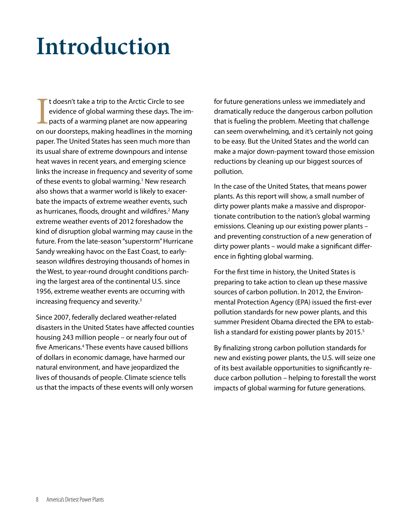### **Introduction**

I doesn't take a trip to the Arctic Circle to see<br>evidence of global warming these days. The im-<br>pacts of a warming planet are now appearing<br>on our doorsteps, making headlines in the morning t doesn't take a trip to the Arctic Circle to see evidence of global warming these days. The impacts of a warming planet are now appearing paper. The United States has seen much more than its usual share of extreme downpours and intense heat waves in recent years, and emerging science links the increase in frequency and severity of some of these events to global warming.<sup>1</sup> New research also shows that a warmer world is likely to exacerbate the impacts of extreme weather events, such as hurricanes, floods, drought and wildfires.<sup>2</sup> Many extreme weather events of 2012 foreshadow the kind of disruption global warming may cause in the future. From the late-season "superstorm" Hurricane Sandy wreaking havoc on the East Coast, to earlyseason wildfires destroying thousands of homes in the West, to year-round drought conditions parching the largest area of the continental U.S. since 1956, extreme weather events are occurring with increasing frequency and severity.3

Since 2007, federally declared weather-related disasters in the United States have affected counties housing 243 million people – or nearly four out of five Americans.<sup>4</sup> These events have caused billions of dollars in economic damage, have harmed our natural environment, and have jeopardized the lives of thousands of people. Climate science tells us that the impacts of these events will only worsen

for future generations unless we immediately and dramatically reduce the dangerous carbon pollution that is fueling the problem. Meeting that challenge can seem overwhelming, and it's certainly not going to be easy. But the United States and the world can make a major down-payment toward those emission reductions by cleaning up our biggest sources of pollution.

In the case of the United States, that means power plants. As this report will show, a small number of dirty power plants make a massive and disproportionate contribution to the nation's global warming emissions. Cleaning up our existing power plants – and preventing construction of a new generation of dirty power plants – would make a significant difference in fighting global warming.

For the first time in history, the United States is preparing to take action to clean up these massive sources of carbon pollution. In 2012, the Environmental Protection Agency (EPA) issued the first-ever pollution standards for new power plants, and this summer President Obama directed the EPA to establish a standard for existing power plants by 2015.<sup>5</sup>

By finalizing strong carbon pollution standards for new and existing power plants, the U.S. will seize one of its best available opportunities to significantly reduce carbon pollution – helping to forestall the worst impacts of global warming for future generations.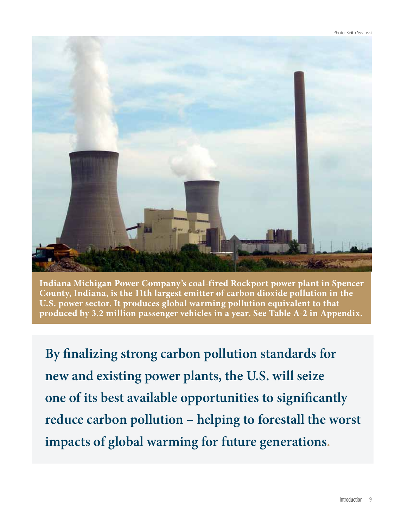

**Indiana Michigan Power Company's coal-fired Rockport power plant in Spencer County, Indiana, is the 11th largest emitter of carbon dioxide pollution in the U.S. power sector. It produces global warming pollution equivalent to that produced by 3.2 million passenger vehicles in a year. See Table A-2 in Appendix.**

**By finalizing strong carbon pollution standards for new and existing power plants, the U.S. will seize one of its best available opportunities to significantly reduce carbon pollution – helping to forestall the worst impacts of global warming for future generations.**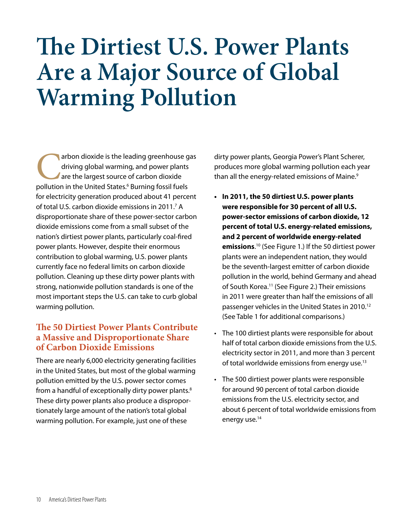### **The Dirtiest U.S. Power Plants Are a Major Source of Global Warming Pollution**

arbon dioxide is the leading greenhouse gas driving global warming, and power plants are the largest source of carbon dioxide pollution in the United States.<sup>6</sup> Burning fossil fuels driving global warming, and power plants are the largest source of carbon dioxide for electricity generation produced about 41 percent of total U.S. carbon dioxide emissions in 2011.<sup>7</sup> A disproportionate share of these power-sector carbon dioxide emissions come from a small subset of the nation's dirtiest power plants, particularly coal-fired power plants. However, despite their enormous contribution to global warming, U.S. power plants currently face no federal limits on carbon dioxide pollution. Cleaning up these dirty power plants with strong, nationwide pollution standards is one of the most important steps the U.S. can take to curb global warming pollution.

### **The 50 Dirtiest Power Plants Contribute a Massive and Disproportionate Share of Carbon Dioxide Emissions**

There are nearly 6,000 electricity generating facilities in the United States, but most of the global warming pollution emitted by the U.S. power sector comes from a handful of exceptionally dirty power plants.<sup>8</sup> These dirty power plants also produce a disproportionately large amount of the nation's total global warming pollution. For example, just one of these

dirty power plants, Georgia Power's Plant Scherer, produces more global warming pollution each year than all the energy-related emissions of Maine.<sup>9</sup>

- **• In 2011, the 50 dirtiest U.S. power plants were responsible for 30 percent of all U.S. power-sector emissions of carbon dioxide, 12 percent of total U.S. energy-related emissions, and 2 percent of worldwide energy-related emissions**. 10 (See Figure 1.) If the 50 dirtiest power plants were an independent nation, they would be the seventh-largest emitter of carbon dioxide pollution in the world, behind Germany and ahead of South Korea.<sup>11</sup> (See Figure 2.) Their emissions in 2011 were greater than half the emissions of all passenger vehicles in the United States in 2010.12 (See Table 1 for additional comparisons.)
- The 100 dirtiest plants were responsible for about half of total carbon dioxide emissions from the U.S. electricity sector in 2011, and more than 3 percent of total worldwide emissions from energy use.<sup>13</sup>
- The 500 dirtiest power plants were responsible for around 90 percent of total carbon dioxide emissions from the U.S. electricity sector, and about 6 percent of total worldwide emissions from energy use.<sup>14</sup>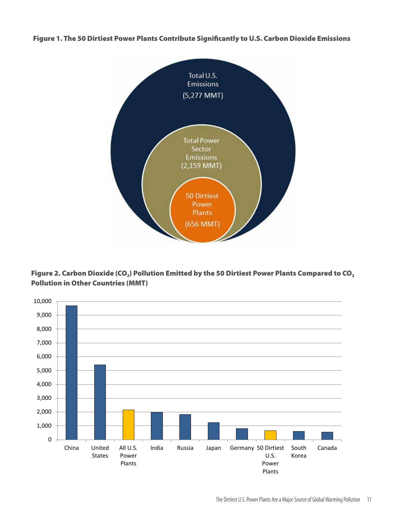Figure 1. The 50 Dirtiest Power Plants Contribute Significantly to U.S. Carbon Dioxide Emissions





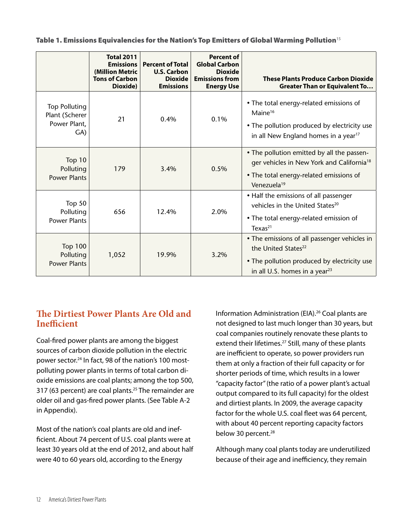Table 1. Emissions Equivalencies for the Nation's Top Emitters of Global Warming Pollution<sup>15</sup>

|                                                               | <b>Total 2011</b><br><b>Emissions</b><br>(Million Metric<br><b>Tons of Carbon</b><br>Dioxide) | <b>Percent of Total</b><br><b>U.S. Carbon</b><br><b>Dioxide</b><br><b>Emissions</b> | <b>Percent of</b><br><b>Global Carbon</b><br><b>Dioxide</b><br><b>Emissions from</b><br><b>Energy Use</b> | <b>These Plants Produce Carbon Dioxide</b><br><b>Greater Than or Equivalent To</b>                                                                                          |
|---------------------------------------------------------------|-----------------------------------------------------------------------------------------------|-------------------------------------------------------------------------------------|-----------------------------------------------------------------------------------------------------------|-----------------------------------------------------------------------------------------------------------------------------------------------------------------------------|
| <b>Top Polluting</b><br>Plant (Scherer<br>Power Plant,<br>GA) | 21                                                                                            | 0.4%                                                                                | 0.1%                                                                                                      | • The total energy-related emissions of<br>Maine $16$<br>• The pollution produced by electricity use<br>in all New England homes in a year <sup>17</sup>                    |
| Top $10$<br>Polluting<br><b>Power Plants</b>                  | 179                                                                                           | 3.4%                                                                                | 0.5%                                                                                                      | • The pollution emitted by all the passen-<br>ger vehicles in New York and California <sup>18</sup><br>• The total energy-related emissions of<br>Venezuela <sup>19</sup>   |
| Top $50$<br>Polluting<br><b>Power Plants</b>                  | 656                                                                                           | 12.4%                                                                               | 2.0%                                                                                                      | • Half the emissions of all passenger<br>vehicles in the United States <sup>20</sup><br>• The total energy-related emission of<br>Texas <sup>21</sup>                       |
| <b>Top 100</b><br>Polluting<br><b>Power Plants</b>            | 1,052                                                                                         | 19.9%                                                                               | 3.2%                                                                                                      | • The emissions of all passenger vehicles in<br>the United States <sup>22</sup><br>• The pollution produced by electricity use<br>in all U.S. homes in a year <sup>23</sup> |

### **The Dirtiest Power Plants Are Old and Inefficient**

Coal-fired power plants are among the biggest sources of carbon dioxide pollution in the electric power sector.24 In fact, 98 of the nation's 100 mostpolluting power plants in terms of total carbon dioxide emissions are coal plants; among the top 500, 317 (63 percent) are coal plants.<sup>25</sup> The remainder are older oil and gas-fired power plants. (See Table A-2 in Appendix).

Most of the nation's coal plants are old and inefficient. About 74 percent of U.S. coal plants were at least 30 years old at the end of 2012, and about half were 40 to 60 years old, according to the Energy

Information Administration (EIA).<sup>26</sup> Coal plants are not designed to last much longer than 30 years, but coal companies routinely renovate these plants to extend their lifetimes.<sup>27</sup> Still, many of these plants are inefficient to operate, so power providers run them at only a fraction of their full capacity or for shorter periods of time, which results in a lower "capacity factor" (the ratio of a power plant's actual output compared to its full capacity) for the oldest and dirtiest plants. In 2009, the average capacity factor for the whole U.S. coal fleet was 64 percent, with about 40 percent reporting capacity factors below 30 percent.<sup>28</sup>

Although many coal plants today are underutilized because of their age and inefficiency, they remain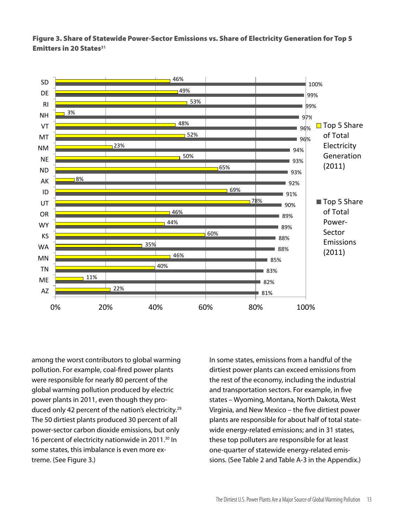Figure 3. Share of Statewide Power-Sector Emissions vs. Share of Electricity Generation for Top 5 Emitters in 20 States**<sup>31</sup>**



among the worst contributors to global warming pollution. For example, coal-fired power plants were responsible for nearly 80 percent of the global warming pollution produced by electric power plants in 2011, even though they produced only 42 percent of the nation's electricity.<sup>29</sup> The 50 dirtiest plants produced 30 percent of all power-sector carbon dioxide emissions, but only 16 percent of electricity nationwide in 2011.<sup>30</sup> In some states, this imbalance is even more extreme. (See Figure 3.)

In some states, emissions from a handful of the dirtiest power plants can exceed emissions from the rest of the economy, including the industrial and transportation sectors. For example, in five states – Wyoming, Montana, North Dakota, West Virginia, and New Mexico – the five dirtiest power plants are responsible for about half of total statewide energy-related emissions; and in 31 states, these top polluters are responsible for at least one-quarter of statewide energy-related emissions. (See Table 2 and Table A-3 in the Appendix.)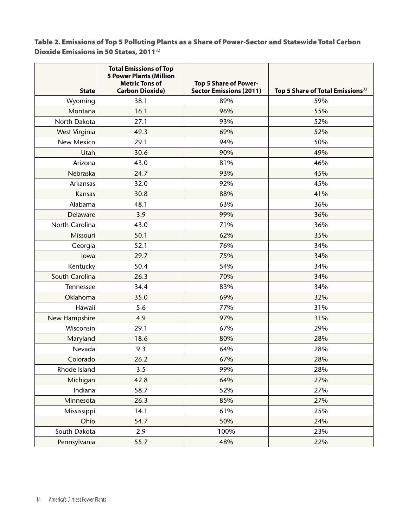Table 2. Emissions of Top 5 Polluting Plants as a Share of Power-Sector and Statewide Total Carbon Dioxide Emissions in 50 States, 2011<sup>32</sup>

| <b>State</b>   | <b>Total Emissions of Top</b><br><b>5 Power Plants (Million</b><br><b>Metric Tons of</b><br><b>Carbon Dioxide)</b> | <b>Top 5 Share of Power-</b><br><b>Sector Emissions (2011)</b> | Top 5 Share of Total Emissions <sup>33</sup> |
|----------------|--------------------------------------------------------------------------------------------------------------------|----------------------------------------------------------------|----------------------------------------------|
| Wyoming        | 38.1                                                                                                               | 89%                                                            | 59%                                          |
| Montana        | 16.1                                                                                                               | 96%                                                            | 55%                                          |
| North Dakota   | 27.1                                                                                                               | 93%                                                            | 52%                                          |
| West Virginia  | 49.3                                                                                                               | 69%                                                            | 52%                                          |
| New Mexico     | 29.1                                                                                                               | 94%                                                            | 50%                                          |
| Utah           | 30.6                                                                                                               | 90%                                                            | 49%                                          |
| Arizona        | 43.0                                                                                                               | 81%                                                            | 46%                                          |
| Nebraska       | 24.7                                                                                                               | 93%                                                            | 45%                                          |
| Arkansas       | 32.0                                                                                                               | 92%                                                            | 45%                                          |
| Kansas         | 30.8                                                                                                               | 88%                                                            | 41%                                          |
| Alabama        | 48.1                                                                                                               | 63%                                                            | 36%                                          |
| Delaware       | 3.9                                                                                                                | 99%                                                            | 36%                                          |
| North Carolina | 43.0                                                                                                               | 71%                                                            | 36%                                          |
| Missouri       | 50.1                                                                                                               | 62%                                                            | 35%                                          |
| Georgia        | 52.1                                                                                                               | 76%                                                            | 34%                                          |
| lowa           | 29.7                                                                                                               | 75%                                                            | 34%                                          |
| Kentucky       | 50.4                                                                                                               | 54%                                                            | 34%                                          |
| South Carolina | 26.3                                                                                                               | 70%                                                            | 34%                                          |
| Tennessee      | 34.4                                                                                                               | 83%                                                            | 34%                                          |
| Oklahoma       | 35.0                                                                                                               | 69%                                                            | 32%                                          |
| Hawaii         | 5.6                                                                                                                | 77%                                                            | 31%                                          |
| New Hampshire  | 4.9                                                                                                                | 97%                                                            | 31%                                          |
| Wisconsin      | 29.1                                                                                                               | 67%                                                            | 29%                                          |
| Maryland       | 18.6                                                                                                               | 80%                                                            | 28%                                          |
| Nevada         | 9.3                                                                                                                | 64%                                                            | 28%                                          |
| Colorado       | 26.2                                                                                                               | 67%                                                            | 28%                                          |
| Rhode Island   | 3.5                                                                                                                | 99%                                                            | 28%                                          |
| Michigan       | 42.8                                                                                                               | 64%                                                            | 27%                                          |
| Indiana        | 58.7                                                                                                               | 52%                                                            | 27%                                          |
| Minnesota      | 26.3                                                                                                               | 85%                                                            | 27%                                          |
| Mississippi    | 14.1                                                                                                               | 61%                                                            | 25%                                          |
| Ohio           | 54.7                                                                                                               | 50%                                                            | 24%                                          |
| South Dakota   | 2.9                                                                                                                | 100%                                                           | 23%                                          |
| Pennsylvania   | 55.7                                                                                                               | 48%                                                            | 22%                                          |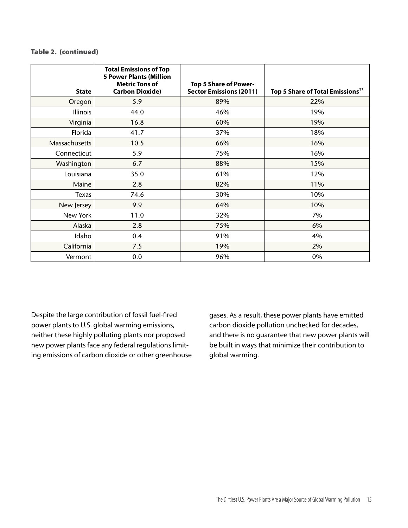#### Table 2. (continued)

| <b>State</b>  | <b>Total Emissions of Top</b><br><b>5 Power Plants (Million</b><br><b>Metric Tons of</b><br><b>Carbon Dioxide)</b> | Top 5 Share of Power-<br><b>Sector Emissions (2011)</b> | Top 5 Share of Total Emissions <sup>33</sup> |
|---------------|--------------------------------------------------------------------------------------------------------------------|---------------------------------------------------------|----------------------------------------------|
| Oregon        | 5.9                                                                                                                | 89%                                                     | 22%                                          |
| Illinois      | 44.0                                                                                                               | 46%                                                     | 19%                                          |
| Virginia      | 16.8                                                                                                               | 60%                                                     | 19%                                          |
| Florida       | 41.7                                                                                                               | 37%                                                     | 18%                                          |
| Massachusetts | 10.5                                                                                                               | 66%                                                     | 16%                                          |
| Connecticut   | 5.9                                                                                                                | 75%                                                     | 16%                                          |
| Washington    | 6.7                                                                                                                | 88%                                                     | 15%                                          |
| Louisiana     | 35.0                                                                                                               | 61%                                                     | 12%                                          |
| Maine         | 2.8                                                                                                                | 82%                                                     | 11%                                          |
| Texas         | 74.6                                                                                                               | 30%                                                     | 10%                                          |
| New Jersey    | 9.9                                                                                                                | 64%                                                     | 10%                                          |
| New York      | 11.0                                                                                                               | 32%                                                     | 7%                                           |
| Alaska        | 2.8                                                                                                                | 75%                                                     | 6%                                           |
| Idaho         | 0.4                                                                                                                | 91%                                                     | 4%                                           |
| California    | 7.5                                                                                                                | 19%                                                     | 2%                                           |
| Vermont       | 0.0                                                                                                                | 96%                                                     | 0%                                           |

Despite the large contribution of fossil fuel-fired power plants to U.S. global warming emissions, neither these highly polluting plants nor proposed new power plants face any federal regulations limiting emissions of carbon dioxide or other greenhouse gases. As a result, these power plants have emitted carbon dioxide pollution unchecked for decades, and there is no guarantee that new power plants will be built in ways that minimize their contribution to global warming.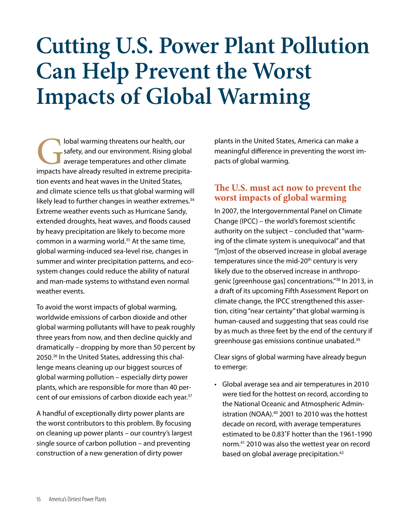### **Cutting U.S. Power Plant Pollution Can Help Prevent the Worst Impacts of Global Warming**

**Cobal warming threatens our health, our** safety, and our environment. Rising global average temperatures and other climate impacts have already resulted in extreme precipitasafety, and our environment. Rising global average temperatures and other climate tion events and heat waves in the United States, and climate science tells us that global warming will likely lead to further changes in weather extremes.<sup>34</sup> Extreme weather events such as Hurricane Sandy, extended droughts, heat waves, and floods caused by heavy precipitation are likely to become more common in a warming world.<sup>35</sup> At the same time, global warming-induced sea-level rise, changes in summer and winter precipitation patterns, and ecosystem changes could reduce the ability of natural and man-made systems to withstand even normal weather events.

To avoid the worst impacts of global warming, worldwide emissions of carbon dioxide and other global warming pollutants will have to peak roughly three years from now, and then decline quickly and dramatically – dropping by more than 50 percent by 2050.36 In the United States, addressing this challenge means cleaning up our biggest sources of global warming pollution – especially dirty power plants, which are responsible for more than 40 percent of our emissions of carbon dioxide each year.37

A handful of exceptionally dirty power plants are the worst contributors to this problem. By focusing on cleaning up power plants – our country's largest single source of carbon pollution – and preventing construction of a new generation of dirty power

plants in the United States, America can make a meaningful difference in preventing the worst impacts of global warming.

### **The U.S. must act now to prevent the worst impacts of global warming**

In 2007, the Intergovernmental Panel on Climate Change (IPCC) – the world's foremost scientific authority on the subject – concluded that "warming of the climate system is unequivocal" and that "[m]ost of the observed increase in global average temperatures since the mid-20<sup>th</sup> century is very likely due to the observed increase in anthropogenic [greenhouse gas] concentrations."38 In 2013, in a draft of its upcoming Fifth Assessment Report on climate change, the IPCC strengthened this assertion, citing "near certainty" that global warming is human-caused and suggesting that seas could rise by as much as three feet by the end of the century if greenhouse gas emissions continue unabated.<sup>39</sup>

Clear signs of global warming have already begun to emerge:

• Global average sea and air temperatures in 2010 were tied for the hottest on record, according to the National Oceanic and Atmospheric Administration (NOAA).40 2001 to 2010 was the hottest decade on record, with average temperatures estimated to be 0.83˚F hotter than the 1961-1990 norm.41 2010 was also the wettest year on record based on global average precipitation.<sup>42</sup>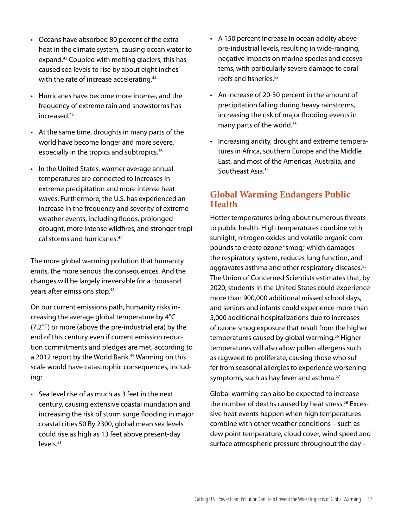- • Oceans have absorbed 80 percent of the extra heat in the climate system, causing ocean water to expand.43 Coupled with melting glaciers, this has caused sea levels to rise by about eight inches – with the rate of increase accelerating.<sup>44</sup>
- • Hurricanes have become more intense, and the frequency of extreme rain and snowstorms has increased.45
- • At the same time, droughts in many parts of the world have become longer and more severe, especially in the tropics and subtropics.<sup>46</sup>
- In the United States, warmer average annual temperatures are connected to increases in extreme precipitation and more intense heat waves. Furthermore, the U.S. has experienced an increase in the frequency and severity of extreme weather events, including floods, prolonged drought, more intense wildfires, and stronger tropical storms and hurricanes.47

The more global warming pollution that humanity emits, the more serious the consequences. And the changes will be largely irreversible for a thousand years after emissions stop.48

On our current emissions path, humanity risks increasing the average global temperature by 4°C (7.2°F) or more (above the pre-industrial era) by the end of this century even if current emission reduction commitments and pledges are met, according to a 2012 report by the World Bank.<sup>49</sup> Warming on this scale would have catastrophic consequences, including:

• Sea level rise of as much as 3 feet in the next century, causing extensive coastal inundation and increasing the risk of storm surge flooding in major coastal cities.50 By 2300, global mean sea levels could rise as high as 13 feet above present-day levels.51

- A 150 percent increase in ocean acidity above pre-industrial levels, resulting in wide-ranging, negative impacts on marine species and ecosystems, with particularly severe damage to coral reefs and fisheries.52
- • An increase of 20-30 percent in the amount of precipitation falling during heavy rainstorms, increasing the risk of major flooding events in many parts of the world.<sup>53</sup>
- Increasing aridity, drought and extreme temperatures in Africa, southern Europe and the Middle East, and most of the Americas, Australia, and Southeast Asia.<sup>54</sup>

### **Global Warming Endangers Public Health**

Hotter temperatures bring about numerous threats to public health. High temperatures combine with sunlight, nitrogen oxides and volatile organic compounds to create ozone "smog," which damages the respiratory system, reduces lung function, and aggravates asthma and other respiratory diseases.<sup>55</sup> The Union of Concerned Scientists estimates that, by 2020, students in the United States could experience more than 900,000 additional missed school days, and seniors and infants could experience more than 5,000 additional hospitalizations due to increases of ozone smog exposure that result from the higher temperatures caused by global warming.<sup>56</sup> Higher temperatures will also allow pollen allergens such as ragweed to proliferate, causing those who suffer from seasonal allergies to experience worsening symptoms, such as hay fever and asthma.<sup>57</sup>

Global warming can also be expected to increase the number of deaths caused by heat stress.<sup>58</sup> Excessive heat events happen when high temperatures combine with other weather conditions – such as dew point temperature, cloud cover, wind speed and surface atmospheric pressure throughout the day –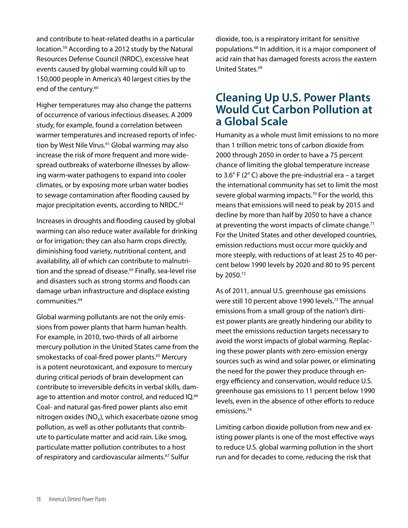and contribute to heat-related deaths in a particular location.59 According to a 2012 study by the Natural Resources Defense Council (NRDC), excessive heat events caused by global warming could kill up to 150,000 people in America's 40 largest cities by the end of the century.<sup>60</sup>

Higher temperatures may also change the patterns of occurrence of various infectious diseases. A 2009 study, for example, found a correlation between warmer temperatures and increased reports of infection by West Nile Virus.<sup>61</sup> Global warming may also increase the risk of more frequent and more widespread outbreaks of waterborne illnesses by allowing warm-water pathogens to expand into cooler climates, or by exposing more urban water bodies to sewage contamination after flooding caused by major precipitation events, according to NRDC.<sup>62</sup>

Increases in droughts and flooding caused by global warming can also reduce water available for drinking or for irrigation; they can also harm crops directly, diminishing food variety, nutritional content, and availability, all of which can contribute to malnutrition and the spread of disease.<sup>63</sup> Finally, sea-level rise and disasters such as strong storms and floods can damage urban infrastructure and displace existing communities.<sup>64</sup>

Global warming pollutants are not the only emissions from power plants that harm human health. For example, in 2010, two-thirds of all airborne mercury pollution in the United States came from the smokestacks of coal-fired power plants.<sup>65</sup> Mercury is a potent neurotoxicant, and exposure to mercury during critical periods of brain development can contribute to irreversible deficits in verbal skills, damage to attention and motor control, and reduced IQ.<sup>66</sup> Coal- and natural gas-fired power plants also emit nitrogen oxides ( $NO_x$ ), which exacerbate ozone smog pollution, as well as other pollutants that contribute to particulate matter and acid rain. Like smog, particulate matter pollution contributes to a host of respiratory and cardiovascular ailments.<sup>67</sup> Sulfur

dioxide, too, is a respiratory irritant for sensitive populations.68 In addition, it is a major component of acid rain that has damaged forests across the eastern United States.69

### **Cleaning Up U.S. Power Plants Would Cut Carbon Pollution at a Global Scale**

Humanity as a whole must limit emissions to no more than 1 trillion metric tons of carbon dioxide from 2000 through 2050 in order to have a 75 percent chance of limiting the global temperature increase to 3.6° F (2° C) above the pre-industrial era – a target the international community has set to limit the most severe global warming impacts.<sup>70</sup> For the world, this means that emissions will need to peak by 2015 and decline by more than half by 2050 to have a chance at preventing the worst impacts of climate change.<sup>71</sup> For the United States and other developed countries, emission reductions must occur more quickly and more steeply, with reductions of at least 25 to 40 percent below 1990 levels by 2020 and 80 to 95 percent by 2050.72

As of 2011, annual U.S. greenhouse gas emissions were still 10 percent above 1990 levels.<sup>73</sup> The annual emissions from a small group of the nation's dirtiest power plants are greatly hindering our ability to meet the emissions reduction targets necessary to avoid the worst impacts of global warming. Replacing these power plants with zero-emission energy sources such as wind and solar power, or eliminating the need for the power they produce through energy efficiency and conservation, would reduce U.S. greenhouse gas emissions to 11 percent below 1990 levels, even in the absence of other efforts to reduce emissions.74

Limiting carbon dioxide pollution from new and existing power plants is one of the most effective ways to reduce U.S. global warming pollution in the short run and for decades to come, reducing the risk that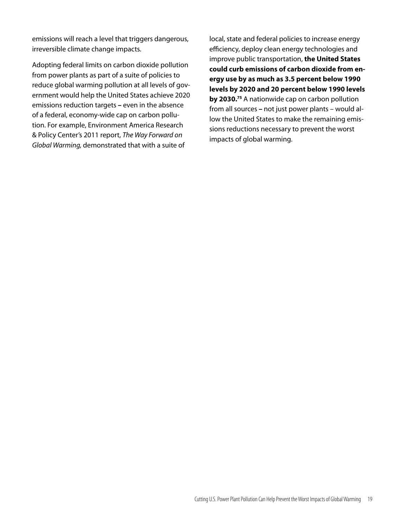emissions will reach a level that triggers dangerous, irreversible climate change impacts.

Adopting federal limits on carbon dioxide pollution from power plants as part of a suite of policies to reduce global warming pollution at all levels of government would help the United States achieve 2020 emissions reduction targets **–** even in the absence of a federal, economy-wide cap on carbon pollution. For example, Environment America Research & Policy Center's 2011 report, *The Way Forward on Global Warming,* demonstrated that with a suite of

local, state and federal policies to increase energy efficiency, deploy clean energy technologies and improve public transportation, **the United States could curb emissions of carbon dioxide from energy use by as much as 3.5 percent below 1990 levels by 2020 and 20 percent below 1990 levels by 2030.**<sup>75</sup> A nationwide cap on carbon pollution from all sources **–** not just power plants – would allow the United States to make the remaining emissions reductions necessary to prevent the worst impacts of global warming.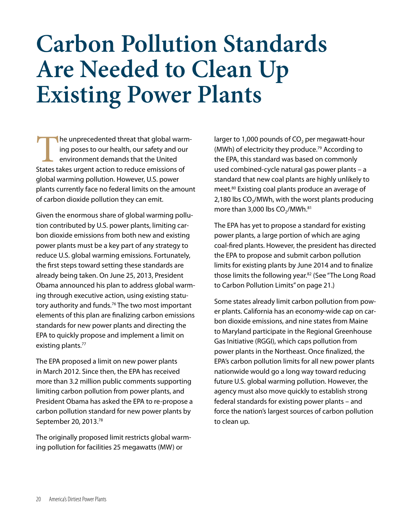### **Carbon Pollution Standards Are Needed to Clean Up Existing Power Plants**

The unprecedented threat that global warm-<br>
ing poses to our health, our safety and our<br>
environment demands that the United<br>
States takes urgent action to reduce emissions of ing poses to our health, our safety and our environment demands that the United global warming pollution. However, U.S. power plants currently face no federal limits on the amount of carbon dioxide pollution they can emit.

Given the enormous share of global warming pollution contributed by U.S. power plants, limiting carbon dioxide emissions from both new and existing power plants must be a key part of any strategy to reduce U.S. global warming emissions. Fortunately, the first steps toward setting these standards are already being taken. On June 25, 2013, President Obama announced his plan to address global warming through executive action, using existing statutory authority and funds.<sup>76</sup> The two most important elements of this plan are finalizing carbon emissions standards for new power plants and directing the EPA to quickly propose and implement a limit on existing plants.<sup>77</sup>

The EPA proposed a limit on new power plants in March 2012. Since then, the EPA has received more than 3.2 million public comments supporting limiting carbon pollution from power plants, and President Obama has asked the EPA to re-propose a carbon pollution standard for new power plants by September 20, 2013.78

The originally proposed limit restricts global warming pollution for facilities 25 megawatts (MW) or

larger to 1,000 pounds of  $CO<sub>2</sub>$  per megawatt-hour (MWh) of electricity they produce.79 According to the EPA, this standard was based on commonly used combined-cycle natural gas power plants – a standard that new coal plants are highly unlikely to meet.80 Existing coal plants produce an average of 2,180 lbs CO<sub>2</sub>/MWh, with the worst plants producing more than 3,000 lbs  $CO<sub>2</sub>/MWh.<sup>81</sup>$ 

The EPA has yet to propose a standard for existing power plants, a large portion of which are aging coal-fired plants. However, the president has directed the EPA to propose and submit carbon pollution limits for existing plants by June 2014 and to finalize those limits the following year.<sup>82</sup> (See "The Long Road to Carbon Pollution Limits" on page 21.)

Some states already limit carbon pollution from power plants. California has an economy-wide cap on carbon dioxide emissions, and nine states from Maine to Maryland participate in the Regional Greenhouse Gas Initiative (RGGI), which caps pollution from power plants in the Northeast. Once finalized, the EPA's carbon pollution limits for all new power plants nationwide would go a long way toward reducing future U.S. global warming pollution. However, the agency must also move quickly to establish strong federal standards for existing power plants – and force the nation's largest sources of carbon pollution to clean up.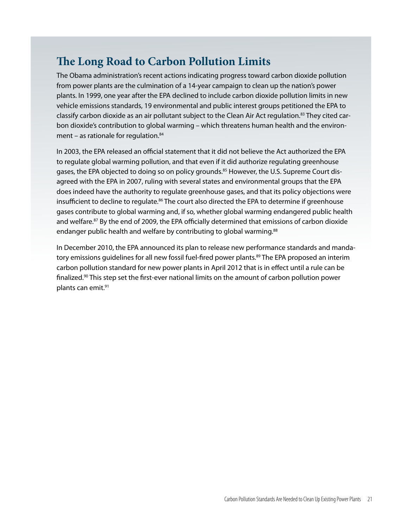### **The Long Road to Carbon Pollution Limits**

The Obama administration's recent actions indicating progress toward carbon dioxide pollution from power plants are the culmination of a 14-year campaign to clean up the nation's power plants. In 1999, one year after the EPA declined to include carbon dioxide pollution limits in new vehicle emissions standards, 19 environmental and public interest groups petitioned the EPA to classify carbon dioxide as an air pollutant subject to the Clean Air Act regulation.<sup>83</sup> They cited carbon dioxide's contribution to global warming – which threatens human health and the environment – as rationale for regulation. $84$ 

In 2003, the EPA released an official statement that it did not believe the Act authorized the EPA to regulate global warming pollution, and that even if it did authorize regulating greenhouse gases, the EPA objected to doing so on policy grounds.<sup>85</sup> However, the U.S. Supreme Court disagreed with the EPA in 2007, ruling with several states and environmental groups that the EPA does indeed have the authority to regulate greenhouse gases, and that its policy objections were insufficient to decline to regulate.<sup>86</sup> The court also directed the EPA to determine if greenhouse gases contribute to global warming and, if so, whether global warming endangered public health and welfare.<sup>87</sup> By the end of 2009, the EPA officially determined that emissions of carbon dioxide endanger public health and welfare by contributing to global warming.<sup>88</sup>

In December 2010, the EPA announced its plan to release new performance standards and mandatory emissions quidelines for all new fossil fuel-fired power plants.<sup>89</sup> The EPA proposed an interim carbon pollution standard for new power plants in April 2012 that is in effect until a rule can be finalized.90 This step set the first-ever national limits on the amount of carbon pollution power plants can emit.91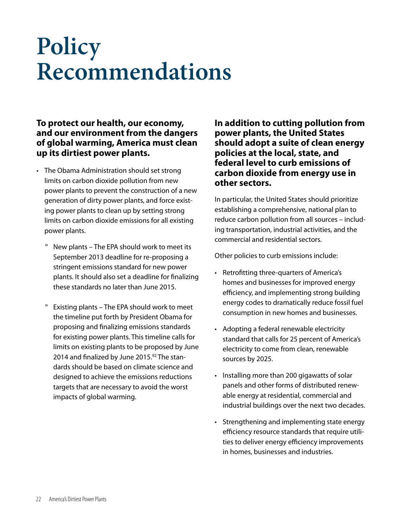### **Policy Recommendations**

### **To protect our health, our economy, and our environment from the dangers of global warming, America must clean up its dirtiest power plants.**

- The Obama Administration should set strong limits on carbon dioxide pollution from new power plants to prevent the construction of a new generation of dirty power plants, and force existing power plants to clean up by setting strong limits on carbon dioxide emissions for all existing power plants.
	- New plants The EPA should work to meet its September 2013 deadline for re-proposing a stringent emissions standard for new power plants. It should also set a deadline for finalizing these standards no later than June 2015.
	- Existing plants The EPA should work to meet the timeline put forth by President Obama for proposing and finalizing emissions standards for existing power plants. This timeline calls for limits on existing plants to be proposed by June 2014 and finalized by June 2015.<sup>92</sup> The standards should be based on climate science and designed to achieve the emissions reductions targets that are necessary to avoid the worst impacts of global warming.

**In addition to cutting pollution from power plants, the United States should adopt a suite of clean energy policies at the local, state, and federal level to curb emissions of carbon dioxide from energy use in other sectors.** 

In particular, the United States should prioritize establishing a comprehensive, national plan to reduce carbon pollution from all sources – including transportation, industrial activities, and the commercial and residential sectors.

Other policies to curb emissions include:

- • Retrofitting three-quarters of America's homes and businesses for improved energy efficiency, and implementing strong building energy codes to dramatically reduce fossil fuel consumption in new homes and businesses.
- • Adopting a federal renewable electricity standard that calls for 25 percent of America's electricity to come from clean, renewable sources by 2025.
- • Installing more than 200 gigawatts of solar panels and other forms of distributed renewable energy at residential, commercial and industrial buildings over the next two decades.
- Strengthening and implementing state energy efficiency resource standards that require utilities to deliver energy efficiency improvements in homes, businesses and industries.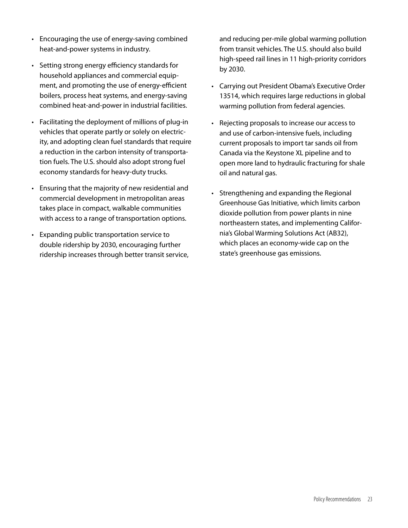- Encouraging the use of energy-saving combined heat-and-power systems in industry.
- • Setting strong energy efficiency standards for household appliances and commercial equipment, and promoting the use of energy-efficient boilers, process heat systems, and energy-saving combined heat-and-power in industrial facilities.
- Facilitating the deployment of millions of plug-in vehicles that operate partly or solely on electricity, and adopting clean fuel standards that require a reduction in the carbon intensity of transportation fuels. The U.S. should also adopt strong fuel economy standards for heavy-duty trucks.
- • Ensuring that the majority of new residential and commercial development in metropolitan areas takes place in compact, walkable communities with access to a range of transportation options.
- • Expanding public transportation service to double ridership by 2030, encouraging further ridership increases through better transit service,

and reducing per-mile global warming pollution from transit vehicles. The U.S. should also build high-speed rail lines in 11 high-priority corridors by 2030.

- Carrying out President Obama's Executive Order 13514, which requires large reductions in global warming pollution from federal agencies.
- • Rejecting proposals to increase our access to and use of carbon-intensive fuels, including current proposals to import tar sands oil from Canada via the Keystone XL pipeline and to open more land to hydraulic fracturing for shale oil and natural gas.
- • Strengthening and expanding the Regional Greenhouse Gas Initiative, which limits carbon dioxide pollution from power plants in nine northeastern states, and implementing California's Global Warming Solutions Act (AB32), which places an economy-wide cap on the state's greenhouse gas emissions.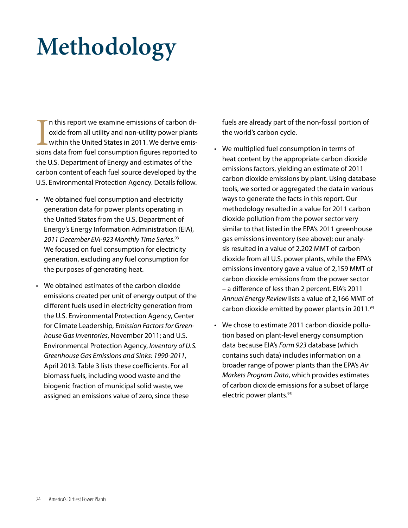# **Methodology**

In this report we examine emissions of carbon dioxide from all utility and non-utility power plants within the United States in 2011. We derive emissions data from fuel consumption figures reported to n this report we examine emissions of carbon dioxide from all utility and non-utility power plants within the United States in 2011. We derive emisthe U.S. Department of Energy and estimates of the carbon content of each fuel source developed by the U.S. Environmental Protection Agency. Details follow.

- We obtained fuel consumption and electricity generation data for power plants operating in the United States from the U.S. Department of Energy's Energy Information Administration (EIA), *2011 December EIA-923 Monthly Time Series*. 93 We focused on fuel consumption for electricity generation, excluding any fuel consumption for the purposes of generating heat.
- • We obtained estimates of the carbon dioxide emissions created per unit of energy output of the different fuels used in electricity generation from the U.S. Environmental Protection Agency, Center for Climate Leadership, *Emission Factors for Greenhouse Gas Inventories*, November 2011; and U.S. Environmental Protection Agency, *Inventory of U.S. Greenhouse Gas Emissions and Sinks: 1990-2011*, April 2013. Table 3 lists these coefficients. For all biomass fuels, including wood waste and the biogenic fraction of municipal solid waste, we assigned an emissions value of zero, since these

fuels are already part of the non-fossil portion of the world's carbon cycle.

- We multiplied fuel consumption in terms of heat content by the appropriate carbon dioxide emissions factors, yielding an estimate of 2011 carbon dioxide emissions by plant. Using database tools, we sorted or aggregated the data in various ways to generate the facts in this report. Our methodology resulted in a value for 2011 carbon dioxide pollution from the power sector very similar to that listed in the EPA's 2011 greenhouse gas emissions inventory (see above); our analysis resulted in a value of 2,202 MMT of carbon dioxide from all U.S. power plants, while the EPA's emissions inventory gave a value of 2,159 MMT of carbon dioxide emissions from the power sector – a difference of less than 2 percent. EIA's 2011 *Annual Energy Review* lists a value of 2,166 MMT of carbon dioxide emitted by power plants in 2011.94
- We chose to estimate 2011 carbon dioxide pollution based on plant-level energy consumption data because EIA's *Form 923* database (which contains such data) includes information on a broader range of power plants than the EPA's *Air Markets Program Data*, which provides estimates of carbon dioxide emissions for a subset of large electric power plants.<sup>95</sup>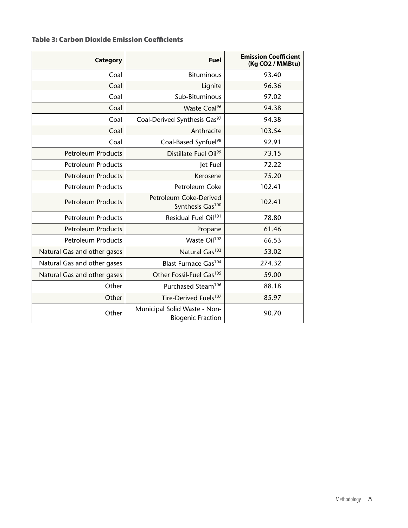#### Table 3: Carbon Dioxide Emission Coefficients

| <b>Category</b>             | <b>Fuel</b>                                              | <b>Emission Coefficient</b><br>(Kg CO2 / MMBtu) |
|-----------------------------|----------------------------------------------------------|-------------------------------------------------|
| Coal                        | <b>Bituminous</b>                                        | 93.40                                           |
| Coal                        | Lignite                                                  | 96.36                                           |
| Coal                        | Sub-Bituminous                                           | 97.02                                           |
| Coal                        | Waste Coal <sup>96</sup>                                 | 94.38                                           |
| Coal                        | Coal-Derived Synthesis Gas97                             | 94.38                                           |
| Coal                        | Anthracite                                               | 103.54                                          |
| Coal                        | Coal-Based Synfuel <sup>98</sup>                         | 92.91                                           |
| <b>Petroleum Products</b>   | Distillate Fuel Oil <sup>99</sup>                        | 73.15                                           |
| <b>Petroleum Products</b>   | Jet Fuel                                                 | 72.22                                           |
| <b>Petroleum Products</b>   | Kerosene                                                 | 75.20                                           |
| <b>Petroleum Products</b>   | Petroleum Coke                                           | 102.41                                          |
| <b>Petroleum Products</b>   | Petroleum Coke-Derived<br>Synthesis Gas <sup>100</sup>   | 102.41                                          |
| <b>Petroleum Products</b>   | Residual Fuel Oil <sup>101</sup>                         | 78.80                                           |
| <b>Petroleum Products</b>   | Propane                                                  | 61.46                                           |
| <b>Petroleum Products</b>   | Waste Oil <sup>102</sup>                                 | 66.53                                           |
| Natural Gas and other gases | Natural Gas <sup>103</sup>                               | 53.02                                           |
| Natural Gas and other gases | Blast Furnace Gas <sup>104</sup>                         | 274.32                                          |
| Natural Gas and other gases | Other Fossil-Fuel Gas <sup>105</sup>                     | 59.00                                           |
| Other                       | Purchased Steam <sup>106</sup>                           | 88.18                                           |
| Other                       | Tire-Derived Fuels <sup>107</sup>                        | 85.97                                           |
| Other                       | Municipal Solid Waste - Non-<br><b>Biogenic Fraction</b> | 90.70                                           |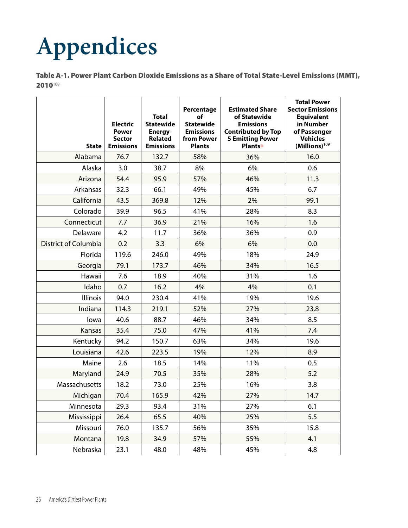# **Appendices**

Table A-1. Power Plant Carbon Dioxide Emissions as a Share of Total State-Level Emissions (MMT), 2010108

| <b>State</b>         | <b>Electric</b><br><b>Power</b><br><b>Sector</b><br><b>Emissions</b> | <b>Total</b><br><b>Statewide</b><br>Energy-<br><b>Related</b><br><b>Emissions</b> | Percentage<br>of<br><b>Statewide</b><br><b>Emissions</b><br>from Power<br><b>Plants</b> | <b>Estimated Share</b><br>of Statewide<br><b>Emissions</b><br><b>Contributed by Top</b><br><b>5 Emitting Power</b><br><b>Plants</b> <sup>±</sup> | <b>Total Power</b><br><b>Sector Emissions</b><br><b>Equivalent</b><br>in Number<br>of Passenger<br><b>Vehicles</b><br>(Millions) <sup>109</sup> |
|----------------------|----------------------------------------------------------------------|-----------------------------------------------------------------------------------|-----------------------------------------------------------------------------------------|--------------------------------------------------------------------------------------------------------------------------------------------------|-------------------------------------------------------------------------------------------------------------------------------------------------|
| Alabama              | 76.7                                                                 | 132.7                                                                             | 58%                                                                                     | 36%                                                                                                                                              | 16.0                                                                                                                                            |
| Alaska               | 3.0                                                                  | 38.7                                                                              | 8%                                                                                      | 6%                                                                                                                                               | 0.6                                                                                                                                             |
| Arizona              | 54.4                                                                 | 95.9                                                                              | 57%                                                                                     | 46%                                                                                                                                              | 11.3                                                                                                                                            |
| Arkansas             | 32.3                                                                 | 66.1                                                                              | 49%                                                                                     | 45%                                                                                                                                              | 6.7                                                                                                                                             |
| California           | 43.5                                                                 | 369.8                                                                             | 12%                                                                                     | 2%                                                                                                                                               | 99.1                                                                                                                                            |
| Colorado             | 39.9                                                                 | 96.5                                                                              | 41%                                                                                     | 28%                                                                                                                                              | 8.3                                                                                                                                             |
| Connecticut          | 7.7                                                                  | 36.9                                                                              | 21%                                                                                     | 16%                                                                                                                                              | 1.6                                                                                                                                             |
| Delaware             | 4.2                                                                  | 11.7                                                                              | 36%                                                                                     | 36%                                                                                                                                              | 0.9                                                                                                                                             |
| District of Columbia | 0.2                                                                  | 3.3                                                                               | 6%                                                                                      | 6%                                                                                                                                               | 0.0                                                                                                                                             |
| Florida              | 119.6                                                                | 246.0                                                                             | 49%                                                                                     | 18%                                                                                                                                              | 24.9                                                                                                                                            |
| Georgia              | 79.1                                                                 | 173.7                                                                             | 46%                                                                                     | 34%                                                                                                                                              | 16.5                                                                                                                                            |
| Hawaii               | 7.6                                                                  | 18.9                                                                              | 40%                                                                                     | 31%                                                                                                                                              | 1.6                                                                                                                                             |
| Idaho                | 0.7                                                                  | 16.2                                                                              | 4%                                                                                      | 4%                                                                                                                                               | 0.1                                                                                                                                             |
| Illinois             | 94.0                                                                 | 230.4                                                                             | 41%                                                                                     | 19%                                                                                                                                              | 19.6                                                                                                                                            |
| Indiana              | 114.3                                                                | 219.1                                                                             | 52%                                                                                     | 27%                                                                                                                                              | 23.8                                                                                                                                            |
| lowa                 | 40.6                                                                 | 88.7                                                                              | 46%                                                                                     | 34%                                                                                                                                              | 8.5                                                                                                                                             |
| Kansas               | 35.4                                                                 | 75.0                                                                              | 47%                                                                                     | 41%                                                                                                                                              | 7.4                                                                                                                                             |
| Kentucky             | 94.2                                                                 | 150.7                                                                             | 63%                                                                                     | 34%                                                                                                                                              | 19.6                                                                                                                                            |
| Louisiana            | 42.6                                                                 | 223.5                                                                             | 19%                                                                                     | 12%                                                                                                                                              | 8.9                                                                                                                                             |
| Maine                | 2.6                                                                  | 18.5                                                                              | 14%                                                                                     | 11%                                                                                                                                              | 0.5                                                                                                                                             |
| Maryland             | 24.9                                                                 | 70.5                                                                              | 35%                                                                                     | 28%                                                                                                                                              | 5.2                                                                                                                                             |
| Massachusetts        | 18.2                                                                 | 73.0                                                                              | 25%                                                                                     | 16%                                                                                                                                              | 3.8                                                                                                                                             |
| Michigan             | 70.4                                                                 | 165.9                                                                             | 42%                                                                                     | 27%                                                                                                                                              | 14.7                                                                                                                                            |
| Minnesota            | 29.3                                                                 | 93.4                                                                              | 31%                                                                                     | 27%                                                                                                                                              | 6.1                                                                                                                                             |
| Mississippi          | 26.4                                                                 | 65.5                                                                              | 40%                                                                                     | 25%                                                                                                                                              | 5.5                                                                                                                                             |
| Missouri             | 76.0                                                                 | 135.7                                                                             | 56%                                                                                     | 35%                                                                                                                                              | 15.8                                                                                                                                            |
| Montana              | 19.8                                                                 | 34.9                                                                              | 57%                                                                                     | 55%                                                                                                                                              | 4.1                                                                                                                                             |
| Nebraska             | 23.1                                                                 | 48.0                                                                              | 48%                                                                                     | 45%                                                                                                                                              | 4.8                                                                                                                                             |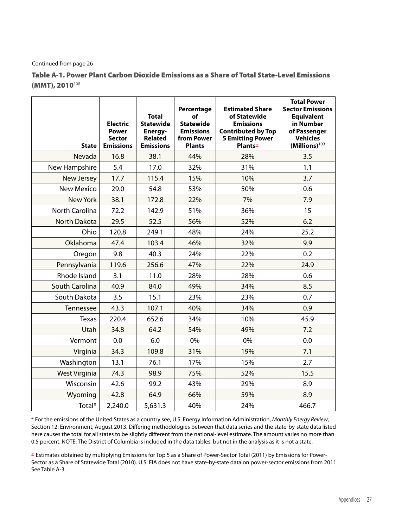#### Continued from page 26

Table A-1. Power Plant Carbon Dioxide Emissions as a Share of Total State-Level Emissions  $(MMT)$ , 2010<sup>108</sup>

| <b>State</b>         | <b>Electric</b><br><b>Power</b><br><b>Sector</b><br><b>Emissions</b> | <b>Total</b><br><b>Statewide</b><br>Energy-<br><b>Related</b><br><b>Emissions</b> | Percentage<br>of<br><b>Statewide</b><br><b>Emissions</b><br>from Power<br><b>Plants</b> | <b>Estimated Share</b><br>of Statewide<br><b>Emissions</b><br><b>Contributed by Top</b><br><b>5 Emitting Power</b><br><b>Plants</b> <sup>±</sup> | <b>Total Power</b><br><b>Sector Emissions</b><br><b>Equivalent</b><br>in Number<br>of Passenger<br><b>Vehicles</b><br>$(Millions)^{109}$ |
|----------------------|----------------------------------------------------------------------|-----------------------------------------------------------------------------------|-----------------------------------------------------------------------------------------|--------------------------------------------------------------------------------------------------------------------------------------------------|------------------------------------------------------------------------------------------------------------------------------------------|
| Nevada               | 16.8                                                                 | 38.1                                                                              | 44%                                                                                     | 28%                                                                                                                                              | 3.5                                                                                                                                      |
| New Hampshire        | 5.4                                                                  | 17.0                                                                              | 32%                                                                                     | 31%                                                                                                                                              | 1.1                                                                                                                                      |
| New Jersey           | 17.7                                                                 | 115.4                                                                             | 15%                                                                                     | 10%                                                                                                                                              | 3.7                                                                                                                                      |
| <b>New Mexico</b>    | 29.0                                                                 | 54.8                                                                              | 53%                                                                                     | 50%                                                                                                                                              | 0.6                                                                                                                                      |
| New York             | 38.1                                                                 | 172.8                                                                             | 22%                                                                                     | 7%                                                                                                                                               | 7.9                                                                                                                                      |
| North Carolina       | 72.2                                                                 | 142.9                                                                             | 51%                                                                                     | 36%                                                                                                                                              | 15                                                                                                                                       |
| <b>North Dakota</b>  | 29.5                                                                 | 52.5                                                                              | 56%                                                                                     | 52%                                                                                                                                              | 6.2                                                                                                                                      |
| Ohio                 | 120.8                                                                | 249.1                                                                             | 48%                                                                                     | 24%                                                                                                                                              | 25.2                                                                                                                                     |
| Oklahoma             | 47.4                                                                 | 103.4                                                                             | 46%                                                                                     | 32%                                                                                                                                              | 9.9                                                                                                                                      |
| Oregon               | 9.8                                                                  | 40.3                                                                              | 24%                                                                                     | 22%                                                                                                                                              | 0.2                                                                                                                                      |
| Pennsylvania         | 119.6                                                                | 256.6                                                                             | 47%                                                                                     | 22%                                                                                                                                              | 24.9                                                                                                                                     |
| Rhode Island         | 3.1                                                                  | 11.0                                                                              | 28%                                                                                     | 28%                                                                                                                                              | 0.6                                                                                                                                      |
| South Carolina       | 40.9                                                                 | 84.0                                                                              | 49%                                                                                     | 34%                                                                                                                                              | 8.5                                                                                                                                      |
| South Dakota         | 3.5                                                                  | 15.1                                                                              | 23%                                                                                     | 23%                                                                                                                                              | 0.7                                                                                                                                      |
| Tennessee            | 43.3                                                                 | 107.1                                                                             | 40%                                                                                     | 34%                                                                                                                                              | 0.9                                                                                                                                      |
| <b>Texas</b>         | 220.4                                                                | 652.6                                                                             | 34%                                                                                     | 10%                                                                                                                                              | 45.9                                                                                                                                     |
| Utah                 | 34.8                                                                 | 64.2                                                                              | 54%                                                                                     | 49%                                                                                                                                              | 7.2                                                                                                                                      |
| Vermont              | 0.0                                                                  | 6.0                                                                               | 0%                                                                                      | 0%                                                                                                                                               | 0.0                                                                                                                                      |
| Virginia             | 34.3                                                                 | 109.8                                                                             | 31%                                                                                     | 19%                                                                                                                                              | 7.1                                                                                                                                      |
| Washington           | 13.1                                                                 | 76.1                                                                              | 17%                                                                                     | 15%                                                                                                                                              | 2.7                                                                                                                                      |
| <b>West Virginia</b> | 74.3                                                                 | 98.9                                                                              | 75%                                                                                     | 52%                                                                                                                                              | 15.5                                                                                                                                     |
| Wisconsin            | 42.6                                                                 | 99.2                                                                              | 43%                                                                                     | 29%                                                                                                                                              | 8.9                                                                                                                                      |
| Wyoming              | 42.8                                                                 | 64.9                                                                              | 66%                                                                                     | 59%                                                                                                                                              | 8.9                                                                                                                                      |
| Total*               | 2,240.0                                                              | 5,631.3                                                                           | 40%                                                                                     | 24%                                                                                                                                              | 466.7                                                                                                                                    |

\* For the emissions of the United States as a country see, U.S. Energy Information Administration, *Monthly Energy Review*, Section 12: Environment, August 2013. Differing methodologies between that data series and the state-by-state data listed here causes the total for all states to be slightly different from the national-level estimate. The amount varies no more than 0.5 percent. NOTE: The District of Columbia is included in the data tables, but not in the analysis as it is not a state.

**±** Estimates obtained by multiplying Emissions for Top 5 as a Share of Power-Sector Total (2011) by Emissions for Power-Sector as a Share of Statewide Total (2010). U.S. EIA does not have state-by-state data on power-sector emissions from 2011. See Table A-3.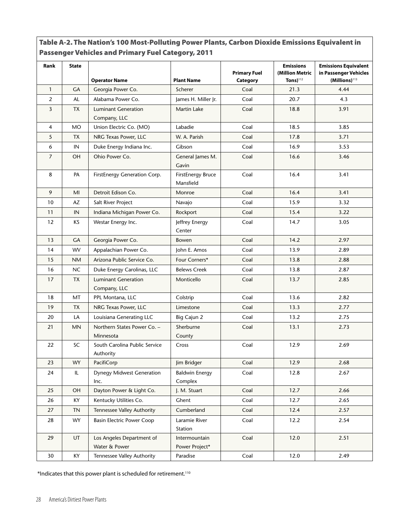| Rank           | <b>State</b> |                                            |                                       | <b>Primary Fuel</b> | <b>Emissions</b><br>(Million Metric | <b>Emissions Equivalent</b><br>in Passenger Vehicles |
|----------------|--------------|--------------------------------------------|---------------------------------------|---------------------|-------------------------------------|------------------------------------------------------|
|                |              | <b>Operator Name</b>                       | <b>Plant Name</b>                     | Category            | Tons $)^{112}$                      | $(Millions)^{113}$                                   |
| $\mathbf{1}$   | <b>GA</b>    | Georgia Power Co.                          | Scherer                               | Coal                | 21.3                                | 4.44                                                 |
| 2              | AL           | Alabama Power Co.                          | James H. Miller Jr.                   | Coal                | 20.7                                | 4.3                                                  |
| 3              | <b>TX</b>    | <b>Luminant Generation</b>                 | Martin Lake                           | Coal                | 18.8                                | 3.91                                                 |
|                |              | Company, LLC                               |                                       |                     |                                     |                                                      |
| 4              | <b>MO</b>    | Union Electric Co. (MO)                    | Labadie                               | Coal                | 18.5                                | 3.85                                                 |
| 5              | <b>TX</b>    | NRG Texas Power, LLC                       | W. A. Parish                          | Coal                | 17.8                                | 3.71                                                 |
| 6              | IN           | Duke Energy Indiana Inc.                   | Gibson                                | Coal                | 16.9                                | 3.53                                                 |
| $\overline{7}$ | OH           | Ohio Power Co.                             | General James M.<br>Gavin             | Coal                | 16.6                                | 3.46                                                 |
| 8              | PA           | FirstEnergy Generation Corp.               | <b>FirstEnergy Bruce</b><br>Mansfield | Coal                | 16.4                                | 3.41                                                 |
| 9              | MI           | Detroit Edison Co.                         | Monroe                                | Coal                | 16.4                                | 3.41                                                 |
| 10             | AZ           | Salt River Project                         | Navajo                                | Coal                | 15.9                                | 3.32                                                 |
| 11             | IN           | Indiana Michigan Power Co.                 | Rockport                              | Coal                | 15.4                                | 3.22                                                 |
| 12             | <b>KS</b>    | Westar Energy Inc.                         | Jeffrey Energy<br>Center              | Coal                | 14.7                                | 3.05                                                 |
| 13             | <b>GA</b>    | Georgia Power Co.                          | Bowen                                 | Coal                | 14.2                                | 2.97                                                 |
| 14             | <b>WV</b>    | Appalachian Power Co.                      | John E. Amos                          | Coal                | 13.9                                | 2.89                                                 |
| 15             | <b>NM</b>    | Arizona Public Service Co.                 | Four Corners*                         | Coal                | 13.8                                | 2.88                                                 |
| 16             | <b>NC</b>    | Duke Energy Carolinas, LLC                 | <b>Belews Creek</b>                   | Coal                | 13.8                                | 2.87                                                 |
| 17             | <b>TX</b>    | <b>Luminant Generation</b><br>Company, LLC | Monticello                            | Coal                | 13.7                                | 2.85                                                 |
| 18             | МT           | PPL Montana, LLC                           | Colstrip                              | Coal                | 13.6                                | 2.82                                                 |
| 19             | TX           | NRG Texas Power, LLC                       | Limestone                             | Coal                | 13.3                                | 2.77                                                 |
| 20             | LA           | Louisiana Generating LLC                   | Big Cajun 2                           | Coal                | 13.2                                | 2.75                                                 |
| 21             | <b>MN</b>    | Northern States Power Co. -<br>Minnesota   | Sherburne<br>County                   | Coal                | 13.1                                | 2.73                                                 |
| 22             | SC           | South Carolina Public Service<br>Authority | Cross                                 | Coal                | 12.9                                | 2.69                                                 |
| 23             | WY           | PacifiCorp                                 | Jim Bridger                           | Coal                | 12.9                                | 2.68                                                 |
| 24             | IL.          | <b>Dynegy Midwest Generation</b><br>Inc.   | <b>Baldwin Energy</b><br>Complex      | Coal                | 12.8                                | 2.67                                                 |
| 25             | <b>OH</b>    | Dayton Power & Light Co.                   | J. M. Stuart                          | Coal                | 12.7                                | 2.66                                                 |
| 26             | KY           | Kentucky Utilities Co.                     | Ghent                                 | Coal                | 12.7                                | 2.65                                                 |
| 27             | <b>TN</b>    | Tennessee Valley Authority                 | Cumberland                            | Coal                | 12.4                                | 2.57                                                 |
| 28             | <b>WY</b>    | <b>Basin Electric Power Coop</b>           | Laramie River<br>Station              | Coal                | 12.2                                | 2.54                                                 |
| 29             | UT           | Los Angeles Department of<br>Water & Power | Intermountain<br>Power Project*       | Coal                | 12.0                                | 2.51                                                 |
| $30\,$         | KY           | Tennessee Valley Authority                 | Paradise                              | Coal                | 12.0                                | 2.49                                                 |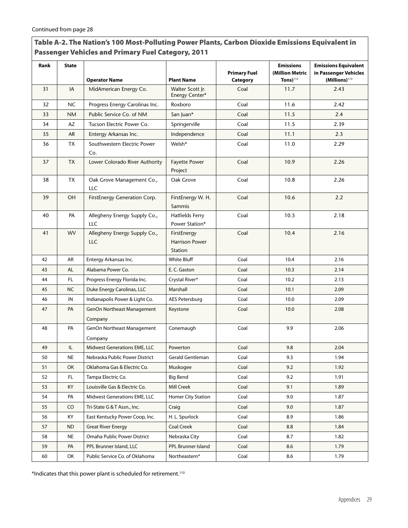| Rank | <b>State</b> |                                       |                                                        |                                 | <b>Emissions</b>                  | <b>Emissions Equivalent</b>                        |
|------|--------------|---------------------------------------|--------------------------------------------------------|---------------------------------|-----------------------------------|----------------------------------------------------|
|      |              | <b>Operator Name</b>                  | <b>Plant Name</b>                                      | <b>Primary Fuel</b><br>Category | (Million Metric<br>Tons) $^{112}$ | in Passenger Vehicles<br>(Millions) <sup>113</sup> |
| 31   | IA           | MidAmerican Energy Co.                | Walter Scott Jr.<br>Energy Center*                     | Coal                            | 11.7                              | 2.43                                               |
| 32   | <b>NC</b>    | Progress Energy Carolinas Inc.        | Roxboro                                                | Coal                            | 11.6                              | 2.42                                               |
| 33   | <b>NM</b>    | Public Service Co. of NM              | San Juan*                                              | Coal                            | 11.5                              | 2.4                                                |
| 34   | AZ           | Tucson Electric Power Co.             | Springerville                                          | Coal                            | 11.5                              | 2.39                                               |
| 35   | AR           | Entergy Arkansas Inc.                 | Independence                                           | Coal                            | 11.1                              | 2.3                                                |
| 36   | <b>TX</b>    | Southwestern Electric Power<br>Co.    | Welsh*                                                 | Coal                            | 11.0                              | 2.29                                               |
| 37   | <b>TX</b>    | Lower Colorado River Authority        | <b>Fayette Power</b><br>Project                        | Coal                            | 10.9                              | 2.26                                               |
| 38   | TX           | Oak Grove Management Co.,<br>LLC      | Oak Grove                                              | Coal                            | 10.8                              | 2.26                                               |
| 39   | OH           | FirstEnergy Generation Corp.          | FirstEnergy W. H.<br>Sammis                            | Coal                            | 10.6                              | 2.2                                                |
| 40   | PA           | Allegheny Energy Supply Co.,<br>LLC   | <b>Hatfields Ferry</b><br>Power Station*               | Coal                            | 10.5                              | 2.18                                               |
| 41   | <b>WV</b>    | Allegheny Energy Supply Co.,<br>LLC   | FirstEnergy<br><b>Harrison Power</b><br><b>Station</b> | Coal                            | 10.4                              | 2.16                                               |
| 42   | AR           | Entergy Arkansas Inc.                 | White Bluff                                            | Coal                            | 10.4                              | 2.16                                               |
| 43   | AL           | Alabama Power Co.                     | E. C. Gaston                                           | Coal                            | 10.3                              | 2.14                                               |
| 44   | FL.          | Progress Energy Florida Inc.          | Crystal River*                                         | Coal                            | 10.2                              | 2.13                                               |
| 45   | <b>NC</b>    | Duke Energy Carolinas, LLC            | Marshall                                               | Coal                            | 10.1                              | 2.09                                               |
| 46   | IN           | Indianapolis Power & Light Co.        | AES Petersburg                                         | Coal                            | 10.0                              | 2.09                                               |
| 47   | PA           | GenOn Northeast Management<br>Company | Keystone                                               | Coal                            | 10.0                              | 2.08                                               |
| 48   | PA           | GenOn Northeast Management<br>Company | Conemaugh                                              | Coal                            | 9.9                               | 2.06                                               |
| 49   | IL           | Midwest Generations EME, LLC          | Powerton                                               | Coal                            | 9.8                               | 2.04                                               |
| 50   | $\sf NE$     | Nebraska Public Power District        | Gerald Gentleman                                       | Coal                            | 9.3                               | 1.94                                               |
| 51   | OK           | Oklahoma Gas & Electric Co.           | Muskogee                                               | Coal                            | 9.2                               | 1.92                                               |
| 52   | FL.          | Tampa Electric Co.                    | <b>Big Bend</b>                                        | Coal                            | 9.2                               | 1.91                                               |
| 53   | KY           | Louisville Gas & Electric Co.         | <b>Mill Creek</b>                                      | Coal                            | 9.1                               | 1.89                                               |
| 54   | PA           | Midwest Generations EME, LLC          | Homer City Station                                     | Coal                            | 9.0                               | 1.87                                               |
| 55   | CO           | Tri-State G & T Assn., Inc.           | Craig                                                  | Coal                            | 9.0                               | 1.87                                               |
| 56   | KY           | East Kentucky Power Coop, Inc.        | H. L. Spurlock                                         | Coal                            | 8.9                               | 1.86                                               |
| 57   | ND.          | <b>Great River Energy</b>             | Coal Creek                                             | Coal                            | 8.8                               | 1.84                                               |
| 58   | <b>NE</b>    | Omaha Public Power District           | Nebraska City                                          | Coal                            | 8.7                               | 1.82                                               |
| 59   | PA           | PPL Brunner Island, LLC               | PPL Brunner Island                                     | Coal                            | 8.6                               | 1.79                                               |
| 60   | OK           | Public Service Co. of Oklahoma        | Northeastern*                                          | Coal                            | 8.6                               | 1.79                                               |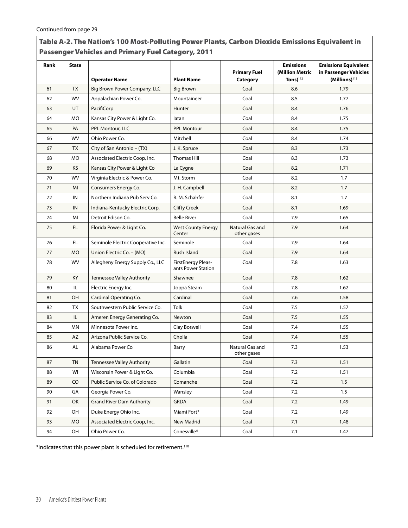| Rank | <b>State</b> | <b>Operator Name</b>               | <b>Plant Name</b>                               | <b>Primary Fuel</b><br>Category | <b>Emissions</b><br>(Million Metric<br>Tons $)^{112}$ | <b>Emissions Equivalent</b><br>in Passenger Vehicles<br>(Millions) <sup>113</sup> |
|------|--------------|------------------------------------|-------------------------------------------------|---------------------------------|-------------------------------------------------------|-----------------------------------------------------------------------------------|
| 61   | <b>TX</b>    | Big Brown Power Company, LLC       | <b>Big Brown</b>                                | Coal                            | 8.6                                                   | 1.79                                                                              |
| 62   | WV           | Appalachian Power Co.              | Mountaineer                                     | Coal                            | 8.5                                                   | 1.77                                                                              |
| 63   | UT           | PacifiCorp                         | Hunter                                          | Coal                            | 8.4                                                   | 1.76                                                                              |
| 64   | MO.          | Kansas City Power & Light Co.      | latan                                           | Coal                            | 8.4                                                   | 1.75                                                                              |
| 65   | PA           | PPL Montour, LLC                   | <b>PPL Montour</b>                              | Coal                            | 8.4                                                   | 1.75                                                                              |
| 66   | <b>WV</b>    | Ohio Power Co.                     | Mitchell                                        | Coal                            | 8.4                                                   | 1.74                                                                              |
| 67   | <b>TX</b>    | City of San Antonio – (TX)         | J. K. Spruce                                    | Coal                            | 8.3                                                   | 1.73                                                                              |
| 68   | <b>MO</b>    | Associated Electric Coop, Inc.     | <b>Thomas Hill</b>                              | Coal                            | 8.3                                                   | 1.73                                                                              |
| 69   | KS.          | Kansas City Power & Light Co       | La Cygne                                        | Coal                            | 8.2                                                   | 1.71                                                                              |
| 70   | WV           | Virginia Electric & Power Co.      | Mt. Storm                                       | Coal                            | 8.2                                                   | 1.7                                                                               |
| 71   | MI           | Consumers Energy Co.               | J. H. Campbell                                  | Coal                            | 8.2                                                   | 1.7                                                                               |
| 72   | IN           | Northern Indiana Pub Serv Co.      | R. M. Schahfer                                  | Coal                            | 8.1                                                   | 1.7                                                                               |
| 73   | IN           | Indiana-Kentucky Electric Corp.    | <b>Clifty Creek</b>                             | Coal                            | 8.1                                                   | 1.69                                                                              |
| 74   | MI           | Detroit Edison Co.                 | <b>Belle River</b>                              | Coal                            | 7.9                                                   | 1.65                                                                              |
| 75   | FL.          | Florida Power & Light Co.          | <b>West County Energy</b><br>Center             | Natural Gas and<br>other gases  | 7.9                                                   | 1.64                                                                              |
| 76   | FL.          | Seminole Electric Cooperative Inc. | Seminole                                        | Coal                            | 7.9                                                   | 1.64                                                                              |
| 77   | <b>MO</b>    | Union Electric Co. - (MO)          | Rush Island                                     | Coal                            | 7.9                                                   | 1.64                                                                              |
| 78   | WV           | Allegheny Energy Supply Co., LLC   | <b>FirstEnergy Pleas-</b><br>ants Power Station | Coal                            | 7.8                                                   | 1.63                                                                              |
| 79   | KY           | <b>Tennessee Valley Authority</b>  | Shawnee                                         | Coal                            | 7.8                                                   | 1.62                                                                              |
| 80   | IL.          | Electric Energy Inc.               | Joppa Steam                                     | Coal                            | 7.8                                                   | 1.62                                                                              |
| 81   | OH           | Cardinal Operating Co.             | Cardinal                                        | Coal                            | 7.6                                                   | 1.58                                                                              |
| 82   | TX           | Southwestern Public Service Co.    | Tolk                                            | Coal                            | 7.5                                                   | 1.57                                                                              |
| 83   | IL.          | Ameren Energy Generating Co.       | Newton                                          | Coal                            | 7.5                                                   | 1.55                                                                              |
| 84   | ΜN           | Minnesota Power Inc.               | Clay Boswell                                    | Coal                            | 7.4                                                   | 1.55                                                                              |
| 85   | AZ           | Arizona Public Service Co.         | Cholla                                          | Coal                            | 7.4                                                   | 1.55                                                                              |
| 86   | AL           | Alabama Power Co.                  | Barry                                           | Natural Gas and<br>other gases  | 7.3                                                   | 1.53                                                                              |
| 87   | <b>TN</b>    | Tennessee Valley Authority         | Gallatin                                        | Coal                            | 7.3                                                   | 1.51                                                                              |
| 88   | WI           | Wisconsin Power & Light Co.        | Columbia                                        | Coal                            | 7.2                                                   | 1.51                                                                              |
| 89   | CO           | Public Service Co. of Colorado     | Comanche                                        | Coal                            | 7.2                                                   | 1.5                                                                               |
| 90   | GA           | Georgia Power Co.                  | Wansley                                         | Coal                            | 7.2                                                   | 1.5                                                                               |
| 91   | OK           | <b>Grand River Dam Authority</b>   | <b>GRDA</b>                                     | Coal                            | 7.2                                                   | 1.49                                                                              |
| 92   | OH           | Duke Energy Ohio Inc.              | Miami Fort*                                     | Coal                            | 7.2                                                   | 1.49                                                                              |
| 93   | МO           | Associated Electric Coop, Inc.     | New Madrid                                      | Coal                            | 7.1                                                   | 1.48                                                                              |
| 94   | OH           | Ohio Power Co.                     | Conesville*                                     | Coal                            | 7.1                                                   | 1.47                                                                              |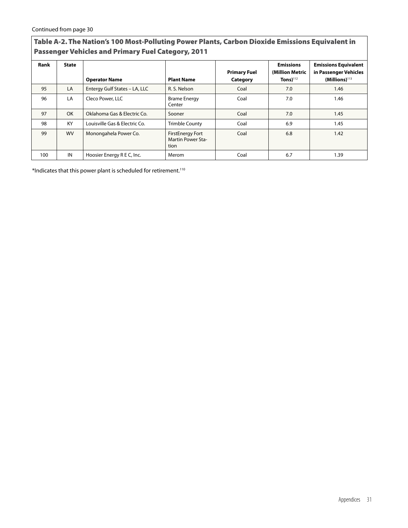| Rank | <b>State</b> | <b>Operator Name</b>          | <b>Plant Name</b>                                    | <b>Primary Fuel</b><br>Category | <b>Emissions</b><br>(Million Metric<br>Tons) $112$ | <b>Emissions Equivalent</b><br>in Passenger Vehicles<br>$(Millions)$ <sup>113</sup> |
|------|--------------|-------------------------------|------------------------------------------------------|---------------------------------|----------------------------------------------------|-------------------------------------------------------------------------------------|
| 95   | LA           | Entergy Gulf States - LA, LLC | R. S. Nelson                                         | Coal                            | 7.0                                                | 1.46                                                                                |
| 96   | LA           | Cleco Power, LLC              | <b>Brame Energy</b><br>Center                        | Coal                            | 7.0                                                | 1.46                                                                                |
| 97   | <b>OK</b>    | Oklahoma Gas & Electric Co.   | Sooner                                               | Coal                            | 7.0                                                | 1.45                                                                                |
| 98   | KY           | Louisville Gas & Electric Co. | <b>Trimble County</b>                                | Coal                            | 6.9                                                | 1.45                                                                                |
| 99   | <b>WV</b>    | Monongahela Power Co.         | <b>FirstEnergy Fort</b><br>Martin Power Sta-<br>tion | Coal                            | 6.8                                                | 1.42                                                                                |
| 100  | IN           | Hoosier Energy R E C, Inc.    | Merom                                                | Coal                            | 6.7                                                | 1.39                                                                                |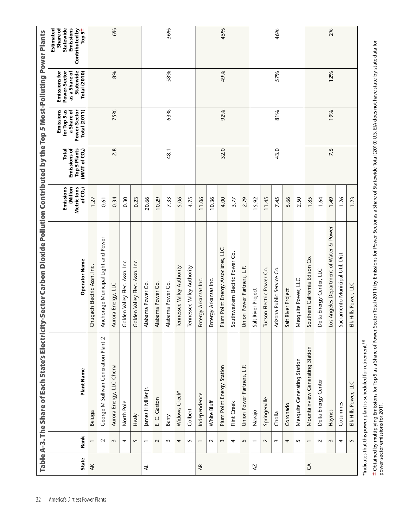| Operator Name |                                         |
|---------------|-----------------------------------------|
|               | Chugach Electric Assn. Inc.             |
|               | nchorage Municipal Light and Power      |
|               | Aurora Energy, LLC                      |
|               | Golden Valley Elec. Assn. Inc.          |
|               | Golden Valley Elec.                     |
|               | labama Power Co.                        |
|               | Alabama Power Co.                       |
|               | Alabama Power Co.                       |
|               | Tennessee Valley Authority              |
|               | Tennessee Valley Authority              |
|               | Entergy Arkansas Inc.                   |
|               | Entergy Arkansas Inc.                   |
|               | Plum Point Energy Associates, LLC       |
|               | Southwestern Electric Power Co.         |
|               | Union Power Partners, L.P.              |
|               | Salt River Project                      |
|               | Tucson Electric Power Co.               |
|               | Arizona Public Service Co.              |
|               | Salt River Project                      |
|               | Mesquite Power, LLC                     |
|               | Southern California Edison Co.          |
|               | Delta Energy Center, LLC                |
|               | Los Angeles Department of Water & Power |
|               | Sacramento Municipal Util. Dist.        |
|               |                                         |

**±** Obtained by multiplying Emissions for Top 5 as a Share of Power-Sector Total (2011) by Emissions for Power-Sector as a Share of Statewide Total (2010) U.S. EIA does not have state-by-state data for<br>power-sector emissio Obtained by multiplying Emissions for Top 5 as a Share of Power-Sector Total (2011) by Emissions for Power-Sector as a Share of Statewide Total (2010) U.S. EIA does not have state-by-state data for power-sector emissions for 2011.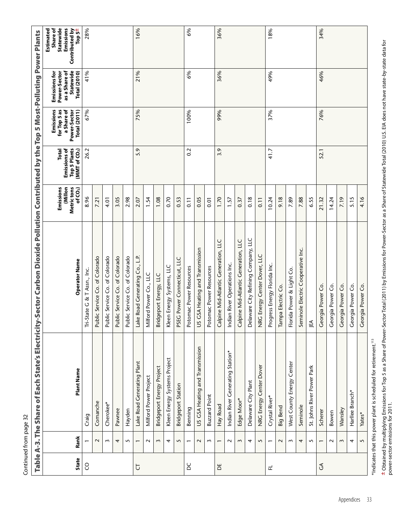| ı |
|---|
|   |
|   |
|   |
| i |
|   |
| l |
|   |
|   |
|   |
|   |
|   |
|   |
|   |
|   |
|   |
|   |
|   |
|   |
|   |
|   |
|   |

|                         |                          |                                                                              | Table A-3. The Share of Each State's Electricity-Sector Carbon Dioxide Pollution Contributed by the |                                               |                                                            | Top 5 Most-Polluting Power Plants                                              |                                                                             |                                                                                         |
|-------------------------|--------------------------|------------------------------------------------------------------------------|-----------------------------------------------------------------------------------------------------|-----------------------------------------------|------------------------------------------------------------|--------------------------------------------------------------------------------|-----------------------------------------------------------------------------|-----------------------------------------------------------------------------------------|
| State                   | Rank                     | Plant Name                                                                   | <b>Operator Name</b>                                                                                | Emissions<br>Millon<br>Metric tons<br>of CO2) | Emissions of<br>Top 5 Plants<br>Total<br>(MMT of CO $_2$ ) | Emissions<br>for Top 5 as<br>a Share of<br>Power-Sector<br><b>Total</b> (2011) | Emissions for<br>Power-Sector<br>as a Share of<br>Statewide<br>Total (2010) | Emissions<br>Statewide<br>Estimated<br>Share of<br>Contributed by<br>Top 5 <sup>±</sup> |
| S                       |                          | Craig                                                                        | & T Assn., Inc.<br>ri-State G                                                                       | 8.96                                          | 26.2                                                       | 67%                                                                            | 41%                                                                         | 28%                                                                                     |
|                         | $\sim$                   | Comanche                                                                     | ublic Service Co. of Colorado                                                                       | 7.21                                          |                                                            |                                                                                |                                                                             |                                                                                         |
|                         | $\sim$                   | Cherokee*                                                                    | Public Service Co. of Colorado                                                                      | 4.01                                          |                                                            |                                                                                |                                                                             |                                                                                         |
|                         | 4                        | Pawnee                                                                       | Public Service Co. of Colorado                                                                      | 3.05                                          |                                                            |                                                                                |                                                                             |                                                                                         |
|                         | 5                        | Hayden                                                                       | Public Service Co. of Colorado                                                                      | 2.98                                          |                                                            |                                                                                |                                                                             |                                                                                         |
| p                       |                          | Lake Road Generating Plant                                                   | ake Road Generating Co., L.P.                                                                       | 2.07                                          | 5.9                                                        | 75%                                                                            | 21%                                                                         | 16%                                                                                     |
|                         | $\sim$                   | Milford Power Project                                                        | Vilford Power Co., LLC                                                                              | 1.54                                          |                                                            |                                                                                |                                                                             |                                                                                         |
|                         | $\sim$                   | <b>Bridgeport Energy Project</b>                                             | Bridgeport Energy, LLC                                                                              | 1.08                                          |                                                            |                                                                                |                                                                             |                                                                                         |
|                         | 4                        | Kleen Energy Systems Project                                                 | Kleen Energy Systems, LLC                                                                           | 0.70                                          |                                                            |                                                                                |                                                                             |                                                                                         |
|                         | 5                        | <b>Bridgeport Station</b>                                                    | <b>PSEG Power Connecticut, LLC</b>                                                                  | 0.53                                          |                                                            |                                                                                |                                                                             |                                                                                         |
| ΣC                      | $\overline{\phantom{0}}$ | Benning                                                                      | Potomac Power Resources                                                                             | $\overline{11}$                               | 0.2                                                        | 100%                                                                           | 6%                                                                          | 6%                                                                                      |
|                         | $\sim$                   | US GSA Heating and Transmission                                              | JS GSA Heating and Transmission                                                                     | 0.05                                          |                                                            |                                                                                |                                                                             |                                                                                         |
|                         | $\sim$                   | <b>Buzzard Point</b>                                                         | Potomac Power Resources                                                                             | 0.01                                          |                                                            |                                                                                |                                                                             |                                                                                         |
| $\overline{\mathsf{D}}$ |                          | Hay Road                                                                     | $\Xi$<br>Calpine Mid-Atlantic Generation,                                                           | 1.70                                          | 3.9                                                        | 99%                                                                            | 36%                                                                         | 36%                                                                                     |
|                         | $\sim$                   | Indian River Generating Station*                                             | ndian River Operations Inc.                                                                         | 1.57                                          |                                                            |                                                                                |                                                                             |                                                                                         |
|                         | $\sim$                   | Edge Moor*                                                                   | $\Xi$<br>Calpine Mid-Atlantic Generation,                                                           | 0.37                                          |                                                            |                                                                                |                                                                             |                                                                                         |
|                         | 4                        | Delaware City Plant                                                          | ပ<br>Delaware City Refining Company, LL                                                             | 0.18                                          |                                                            |                                                                                |                                                                             |                                                                                         |
|                         | 5                        | NRG Energy Center Dover                                                      | NRG Energy Center Dover, LLC                                                                        | $\overline{0.11}$                             |                                                            |                                                                                |                                                                             |                                                                                         |
| 군                       | $\overline{\phantom{0}}$ | Crystal River*                                                               | Progress Energy Florida Inc.                                                                        | 10.24                                         | 41.7                                                       | 37%                                                                            | 49%                                                                         | 18%                                                                                     |
|                         | $\sim$                   | Big Bend                                                                     | Tampa Electric Co.                                                                                  | 9.18                                          |                                                            |                                                                                |                                                                             |                                                                                         |
|                         | $\sim$                   | West County Energy Center                                                    | Florida Power & Light Co.                                                                           | 7.89                                          |                                                            |                                                                                |                                                                             |                                                                                         |
|                         | 4                        | Seminole                                                                     | eminole Electric Cooperative Inc.                                                                   | 7.88                                          |                                                            |                                                                                |                                                                             |                                                                                         |
|                         | $\sim$                   | St. Johns River Power Park                                                   | ₹                                                                                                   | 6.55                                          |                                                            |                                                                                |                                                                             |                                                                                         |
| $\mathfrak{S}$          | $\overline{ }$           | Scherer                                                                      | ပိ<br>Georgia Power                                                                                 | 21.32                                         | 52.1                                                       | 76%                                                                            | 46%                                                                         | 34%                                                                                     |
|                         | $\sim$                   | Bowen                                                                        | Georgia Power Co.                                                                                   | 14.24                                         |                                                            |                                                                                |                                                                             |                                                                                         |
|                         | $\sim$                   | Wansley                                                                      | Georgia Power Co.                                                                                   | 7.19                                          |                                                            |                                                                                |                                                                             |                                                                                         |
|                         | 4                        | Harllee Branch*                                                              | Georgia Power Co.                                                                                   | 5.15                                          |                                                            |                                                                                |                                                                             |                                                                                         |
|                         | $\sim$                   | Yates*                                                                       | Georgia Power Co.                                                                                   | 4.16                                          |                                                            |                                                                                |                                                                             |                                                                                         |
|                         |                          | *Indicates that this power plant is scheduled for retirement. <sup>113</sup> |                                                                                                     |                                               |                                                            |                                                                                |                                                                             |                                                                                         |

± Obtained by multiplying Emissions for Top 5 as a Share of Power-Sector Total (2011) by Emissions for Power-Sector as a Share of Statewide Total (2010) U.S. EIA does not have state-by-state data for<br>power-sector emissions Obtained by multiplying Emissions for Top 5 as a Share of Power-Sector Total (2011) by Emissions for Power-Sector as a Share of Statewide Total (2010) U.S. EIA does not have state-by-state data for power-sector emissions for 2011.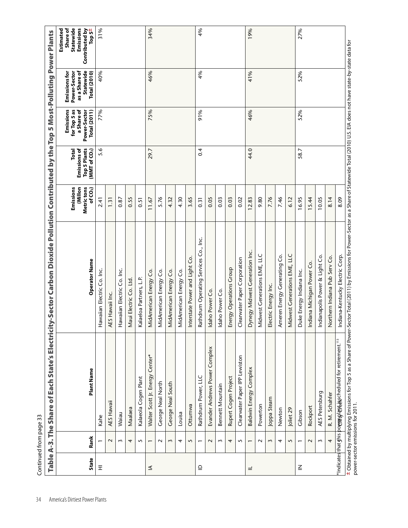| <b>State</b> | Rank           | Plant Name                                                        | Operator Name                         | Emissions<br>Millon<br>Metric tons<br>of CO <sub>2</sub> | <b>Top 5 Plants</b><br>Emissions of<br>(MMT of CO <sub>2</sub> )<br>Total | Emissions<br>for Top 5 as<br>a Share of<br>Power-Sector<br><b>Total (2011)</b> | Statewide<br>Emissions for<br>Power-Sector<br>as a Share of<br><b>Total (2010)</b> | Emissions<br>Statewide<br>Contributed by<br>Estimated<br>Share of<br>Top $5^{\pm}$ |
|--------------|----------------|-------------------------------------------------------------------|---------------------------------------|----------------------------------------------------------|---------------------------------------------------------------------------|--------------------------------------------------------------------------------|------------------------------------------------------------------------------------|------------------------------------------------------------------------------------|
| Ξ            |                | Kahe                                                              | Hawaiian Electric Co. Inc.            | 2.41                                                     | \$.6                                                                      | 77%                                                                            | 40%                                                                                | 31%                                                                                |
|              | $\sim$         | AES Hawaii                                                        | AES Hawaii Inc.                       | 1.31                                                     |                                                                           |                                                                                |                                                                                    |                                                                                    |
|              | $\sim$         | Waiau                                                             | Hawaiian Electric Co. Inc.            | 0.87                                                     |                                                                           |                                                                                |                                                                                    |                                                                                    |
|              | 4              | Maalaea                                                           | Maui Electric Co. Ltd                 | 0.55                                                     |                                                                           |                                                                                |                                                                                    |                                                                                    |
|              | 5              | Kalaeola Cogen Plant                                              | Kalaeloa Partners, L.P.               | 0.51                                                     |                                                                           |                                                                                |                                                                                    |                                                                                    |
| $\preceq$    |                | Walter Scott Jr. Energy Center*                                   | MidAmerican Energy Co.                | 11.67                                                    | 29.7                                                                      | 75%                                                                            | 46%                                                                                | 34%                                                                                |
|              | $\sim$         | George Neal North                                                 | MidAmerican Energy Co.                | 5.76                                                     |                                                                           |                                                                                |                                                                                    |                                                                                    |
|              | 3              | George Neal South                                                 | MidAmerican Energy Co.                | 4.32                                                     |                                                                           |                                                                                |                                                                                    |                                                                                    |
|              | 4              | Louisa                                                            | MidAmerican Energy Co.                | 4.30                                                     |                                                                           |                                                                                |                                                                                    |                                                                                    |
|              | 5              | Ottumwa                                                           | Interstate Power and Light Co.        | 3.65                                                     |                                                                           |                                                                                |                                                                                    |                                                                                    |
| $\supseteq$  |                | Rathdrum Power, LLC                                               | Rathdrum Operating Services Co., Inc. | 0.31                                                     | 0.4                                                                       | 91%                                                                            | 4%                                                                                 |                                                                                    |
|              | $\sim$         | Evander Andrews Power Complex                                     | Idaho Power Co.                       | 0.05                                                     |                                                                           |                                                                                |                                                                                    |                                                                                    |
|              | 3              | Bennett Mountain                                                  | Idaho Power Co.                       | 0.03                                                     |                                                                           |                                                                                |                                                                                    |                                                                                    |
|              | 4              | Rupert Cogen Project                                              | Energy Operations Group               | 0.03                                                     |                                                                           |                                                                                |                                                                                    |                                                                                    |
|              | 5              | Clearwater Paper IPP Lewiston                                     | Clearwater Paper Corporation          | 0.02                                                     |                                                                           |                                                                                |                                                                                    |                                                                                    |
| $\equiv$     | $\overline{ }$ | Baldwin Energy Complex                                            | Dynegy Midwest Generation Inc.        | 12.83                                                    | 44.0                                                                      | 46%                                                                            | 41%                                                                                | 19%                                                                                |
|              | $\sim$         | Powerton                                                          | Midwest Generations EME, LLC          | 9.80                                                     |                                                                           |                                                                                |                                                                                    |                                                                                    |
|              | $\sim$         | Joppa Steam                                                       | Electric Energy Inc.                  | 7.76                                                     |                                                                           |                                                                                |                                                                                    |                                                                                    |
|              | 4              | Newton                                                            | Ameren Energy Generating Co.          | 7.46                                                     |                                                                           |                                                                                |                                                                                    |                                                                                    |
|              | 5              | Joliet 29                                                         | Midwest Generations EME, LLC          | 6.12                                                     |                                                                           |                                                                                |                                                                                    |                                                                                    |
| $\leq$       | $\blacksquare$ | Gibson                                                            | Duke Energy Indiana Inc.              | 16.95                                                    | 58.7                                                                      | 52%                                                                            | 52%                                                                                | 27%                                                                                |
|              | $\sim$         | Rockport                                                          | Indiana Michigan Power Co.            | 15.44                                                    |                                                                           |                                                                                |                                                                                    |                                                                                    |
|              | $\sim$         | AES Petersburg                                                    | Indianapolis Power & Light Co.        | 10.05                                                    |                                                                           |                                                                                |                                                                                    |                                                                                    |
|              | 4              | R. M. Schahfer                                                    | Northern Indiana Pub Serv Co.         | 8.14                                                     |                                                                           |                                                                                |                                                                                    |                                                                                    |
|              |                | $*$ Indicates that shis pomethy antispeched uled for retirement." | Indiana-Kentucky Electric Corp.       | 8.09                                                     |                                                                           |                                                                                |                                                                                    |                                                                                    |

power-sector emissions for 2011.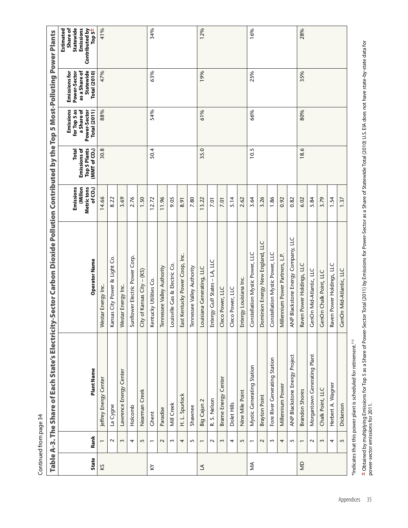| ĭ |  |
|---|--|
| ì |  |
|   |  |
|   |  |
|   |  |
| ì |  |
|   |  |
|   |  |
|   |  |
|   |  |
|   |  |
|   |  |
|   |  |
|   |  |
|   |  |
|   |  |
|   |  |

|                | Continued from page 34   |                                                                                 |                                                                                         |                                                            |                                                                           |                                                                                |                                                                                           |                                                                             |
|----------------|--------------------------|---------------------------------------------------------------------------------|-----------------------------------------------------------------------------------------|------------------------------------------------------------|---------------------------------------------------------------------------|--------------------------------------------------------------------------------|-------------------------------------------------------------------------------------------|-----------------------------------------------------------------------------|
|                |                          | Table A-3. The Share of Each State's Electrici                                  | ty-Sector Carbon Dioxide Pollution Contributed by the Top 5 Most-Polluting Power Plants |                                                            |                                                                           |                                                                                |                                                                                           |                                                                             |
| <b>State</b>   | Rank                     | Plant Name                                                                      | <b>Operator Name</b>                                                                    | Emissions<br>Millon<br>Metric tons<br>of CO <sub>2</sub> ) | Emissions of<br><b>Top 5 Plants</b><br>Total<br>(MMT of CO <sub>2</sub> ) | Emissions<br>for Top 5 as<br>a Share of<br><b>Total</b> (2011)<br>Power-Sector | as a Share of<br>Statewide<br><b>Emissions for</b><br>Power-Sector<br><b>Total (2010)</b> | Emissions<br>Statewide<br>Contributed by<br>Top 5±<br>Estimated<br>Share of |
| KS             |                          | Jeffrey Energy Center                                                           | Westar Energy Inc.                                                                      | 14.66                                                      | 30.8                                                                      | 88%                                                                            | 47%                                                                                       | 41%                                                                         |
|                | $\sim$                   | La Cygne                                                                        | Kansas City Power & Light Co.                                                           | 8.22                                                       |                                                                           |                                                                                |                                                                                           |                                                                             |
|                | 3                        | Lawrence Energy Center                                                          | Westar Energy Inc.                                                                      | 3.69                                                       |                                                                           |                                                                                |                                                                                           |                                                                             |
|                | 4                        | Holcomb                                                                         | Sunflower Electric Power Corp                                                           | 2.76                                                       |                                                                           |                                                                                |                                                                                           |                                                                             |
|                | 5                        | Nearman Creek                                                                   | $\mathrm{City}$ of Kansas $\mathrm{City}$ – (KS)                                        | 1.50                                                       |                                                                           |                                                                                |                                                                                           |                                                                             |
| ≿              | $\overline{ }$           | Ghent                                                                           | Kentucky Utilities Co.                                                                  | 12.72                                                      | 50.4                                                                      | 54%                                                                            | 63%                                                                                       | 34%                                                                         |
|                | $\sim$                   | Paradise                                                                        | Tennessee Valley Authority                                                              | 11.96                                                      |                                                                           |                                                                                |                                                                                           |                                                                             |
|                | $\sim$                   | Mill Creek                                                                      | Louisville Gas & Electric Co.                                                           | 9.05                                                       |                                                                           |                                                                                |                                                                                           |                                                                             |
|                | 4                        | H. L. Spurlock                                                                  | East Kentucky Power Coop, Inc.                                                          | 8.91                                                       |                                                                           |                                                                                |                                                                                           |                                                                             |
|                | $\mathbf{\Omega}$        | Shawnee                                                                         | Tennessee Valley Authority                                                              | 7.80                                                       |                                                                           |                                                                                |                                                                                           |                                                                             |
| $\Delta$       | $\overline{\phantom{0}}$ | $\mathbf{\sim}$<br>Big Cajun                                                    | Louisiana Generating, LLC                                                               | 13.22                                                      | 35.0                                                                      | 61%                                                                            | 19%                                                                                       | 12%                                                                         |
|                | $\sim$                   | R. S. Nelson                                                                    | Entergy Gulf States - LA, LLC                                                           | <b>7.01</b>                                                |                                                                           |                                                                                |                                                                                           |                                                                             |
|                | $\sim$                   | Brame Energy Center                                                             | Cleco Power, LLC                                                                        | <b>D</b> .2                                                |                                                                           |                                                                                |                                                                                           |                                                                             |
|                | 4                        | Dolet Hills                                                                     | Cleco Power, LLC                                                                        | 5.14                                                       |                                                                           |                                                                                |                                                                                           |                                                                             |
|                | $\mathbf{\Omega}$        | Nine Mile Point                                                                 | Entergy Louisiana Inc.                                                                  | 2.62                                                       |                                                                           |                                                                                |                                                                                           |                                                                             |
| ≸              | $\overline{ }$           | Mystic Generating Station                                                       | Constellation Mystic Power, LLC                                                         | 3.64                                                       | 10.5                                                                      | 66%                                                                            | 25%                                                                                       | 16%                                                                         |
|                | $\sim$                   | Brayton Point                                                                   | Dominion Energy New England, LLC                                                        | 3.26                                                       |                                                                           |                                                                                |                                                                                           |                                                                             |
|                | $\sim$                   | Fore River Generating Station                                                   | Constellation Mystic Power, LLC                                                         | 1.86                                                       |                                                                           |                                                                                |                                                                                           |                                                                             |
|                | 4                        | Millennium Power                                                                | Villennium Power Partners, L.P.                                                         | 0.92                                                       |                                                                           |                                                                                |                                                                                           |                                                                             |
|                | 5                        | ANP Blackstone Energy Project                                                   | ANP Blackstone Energy Company, LLC                                                      | 0.82                                                       |                                                                           |                                                                                |                                                                                           |                                                                             |
| $\overline{a}$ |                          | <b>Brandon Shores</b>                                                           | Raven Power Holdings, LLC                                                               | 6.02                                                       | 18.6                                                                      | 80%                                                                            | 35%                                                                                       | 28%                                                                         |
|                | $\mathbf{\sim}$          | Morgantown Generating Plant                                                     | GenOn Mid-Atlantic, LLC                                                                 | 5.84                                                       |                                                                           |                                                                                |                                                                                           |                                                                             |
|                | $\sim$                   | Chalk Point, LLC                                                                | GenOn Chalk Point, LLC                                                                  | 3.79                                                       |                                                                           |                                                                                |                                                                                           |                                                                             |
|                | 4                        | Herbert A. Wagner                                                               | Raven Power Holdings, LLC                                                               | 1.54                                                       |                                                                           |                                                                                |                                                                                           |                                                                             |
|                | $\mathbf{\Omega}$        | Dickerson                                                                       | GenOn Mid-Atlantic, LLC                                                                 | 1.37                                                       |                                                                           |                                                                                |                                                                                           |                                                                             |
|                |                          | $*$ Indicates that this nower plant is scheduled for retirement. <sup>113</sup> |                                                                                         |                                                            |                                                                           |                                                                                |                                                                                           |                                                                             |

\*Indicates that this power plant is scheduled for retirement.113

± Obtained by multiplying Emissions for Top 5 as a Share of Power-Sector Total (2011) by Emissions for Power-Sector as a Share of Statewide Total (2010) U.S. EIA does not have state-by-state data for<br>power-sector emissions Obtained by multiplying Emissions for Top 5 as a Share of Power-Sector Total (2011) by Emissions for Power-Sector as a Share of Statewide Total (2010) U.S. EIA does not have state-by-state data for power-sector emissions for 2011.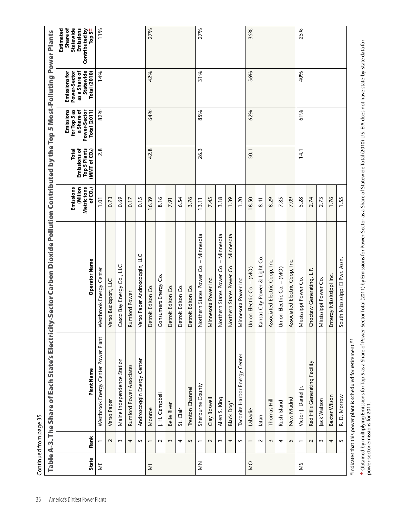| <b>State</b>      | Rank           | Plant Name                          | Operator Name                            | Emissions<br>Millon<br>Metric tons<br>of CO <sub>2</sub> | <b>Top 5 Plants</b><br>Emissions of<br>(MMT of CO <sub>2</sub> )<br>Total | Emissions<br>for Top 5 as<br>a Share of<br>Power-Sector<br><b>Total (2011)</b> | as a Share of<br>Statewide<br><b>Emissions for</b><br>Power-Sector<br><b>Total (2010)</b> | Statewide<br>Emissions<br>Contributed by<br>Top 5±<br>Estimated<br>Share of |
|-------------------|----------------|-------------------------------------|------------------------------------------|----------------------------------------------------------|---------------------------------------------------------------------------|--------------------------------------------------------------------------------|-------------------------------------------------------------------------------------------|-----------------------------------------------------------------------------|
| ₩                 |                | Westbrook Energy Center Power Plant | Westbrook Energy Center                  | $\overline{10}$                                          | 2.8                                                                       | 82%                                                                            | 14%                                                                                       | 11%                                                                         |
|                   | $\sim$         | Verso Paper                         | Verso Bucksport, LLC                     | 0.73                                                     |                                                                           |                                                                                |                                                                                           |                                                                             |
|                   | $\sim$         | Maine Independence Station          | Casco Bay Energy Co., LLC                | 0.69                                                     |                                                                           |                                                                                |                                                                                           |                                                                             |
|                   | 4              | Rumford Power Associates            | Rumford Power                            | 0.17                                                     |                                                                           |                                                                                |                                                                                           |                                                                             |
|                   | 5              | Androscoggin Energy Center          | Verso Paper Androscoggin, LLC            | 0.15                                                     |                                                                           |                                                                                |                                                                                           |                                                                             |
| $\overline{\geq}$ | $\overline{ }$ | Monroe                              | Detroit Edison Co.                       | 16.39                                                    | 42.8                                                                      | 64%                                                                            | 42%                                                                                       | 27%                                                                         |
|                   | $\sim$         | J. H. Campbell                      | Consumers Energy Co.                     | 8.16                                                     |                                                                           |                                                                                |                                                                                           |                                                                             |
|                   | $\sim$         | Belle River                         | Detroit Edison Co.                       | 7.91                                                     |                                                                           |                                                                                |                                                                                           |                                                                             |
|                   | 4              | St. Clair                           | Detroit Edison Co.                       | 6.54                                                     |                                                                           |                                                                                |                                                                                           |                                                                             |
|                   | 5              | Trenton Channel                     | Detroit Edison Co.                       | 3.76                                                     |                                                                           |                                                                                |                                                                                           |                                                                             |
| $\frac{Z}{2}$     | $\overline{ }$ | Sherburne County                    | - Minnesota<br>Northern States Power Co. | 3.11                                                     | 26.3                                                                      | 85%                                                                            | 31%                                                                                       | 27%                                                                         |
|                   | $\sim$         | Clay Boswell                        | Minnesota Power Inc.                     | 7.45                                                     |                                                                           |                                                                                |                                                                                           |                                                                             |
|                   | $\sim$         | Allen S. King                       | Northern States Power Co. - Minnesota    | 3.18                                                     |                                                                           |                                                                                |                                                                                           |                                                                             |
|                   | 4              | Black Dog*                          | - Minnesota<br>Northern States Power Co. | 1.39                                                     |                                                                           |                                                                                |                                                                                           |                                                                             |
|                   | 5              | Taconite Harbor Energy Center       | Minnesota Power Inc.                     | 1.20                                                     |                                                                           |                                                                                |                                                                                           |                                                                             |
| $\frac{0}{2}$     | $\overline{ }$ | Labadie                             | $(ON)$ -<br>Union Electric Co.           | 18.50                                                    | 50.1                                                                      | 62%                                                                            | 56%                                                                                       | 35%                                                                         |
|                   | $\sim$         | latan                               | Kansas City Power & Light Co.            | 8.41                                                     |                                                                           |                                                                                |                                                                                           |                                                                             |
|                   | 3              | Thomas Hill                         | Associated Electric Coop, Inc.           | 8.29                                                     |                                                                           |                                                                                |                                                                                           |                                                                             |
|                   | 4              | Rush Island                         | Union Electric Co. - (MO)                | 7.85                                                     |                                                                           |                                                                                |                                                                                           |                                                                             |
|                   | 5              | New Madrid                          | Associated Electric Coop, Inc.           | 7.09                                                     |                                                                           |                                                                                |                                                                                           |                                                                             |
| SM                |                | Victor J. Daniel Jr.                | Mississippi Power Co.                    | 5.28                                                     | 14.1                                                                      | 61%                                                                            | 40%                                                                                       | 25%                                                                         |
|                   | $\sim$         | Red Hills Generating Facility       | Choctaw Generating, L.P.                 | 2.74                                                     |                                                                           |                                                                                |                                                                                           |                                                                             |
|                   | $\sim$         | Jack Watson                         | Mississippi Power Co.                    | 2.73                                                     |                                                                           |                                                                                |                                                                                           |                                                                             |
|                   | 4              | Baxter Wilson                       | Entergy Mississippi Inc.                 | 1.76                                                     |                                                                           |                                                                                |                                                                                           |                                                                             |
|                   | $\sim$         | R. D. Morrow                        | South Mississippi El Pwr. Assn.          | 1.55                                                     |                                                                           |                                                                                |                                                                                           |                                                                             |

± Obtained by multiplying Emissions for Top 5 as a Share of Power-Sector 10tal (2011) by Emissions for Power-Sector as a Share of Statewide Total (2010) U.S. EIA does not have state-by-state data for<br>power-sector emissions Obtained by multiplying Emissions for Top 5 as a Share of Power-Sector Total (2011) by Emissions for Power-Sector as a Share of Statewide Total (2010) U.S. EIA does not have state-by-state data for power-sector emissions for 2011.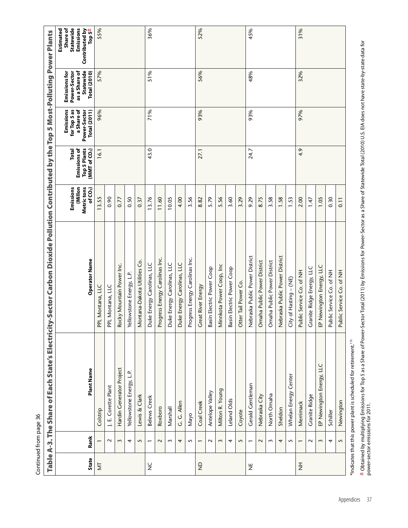|               | Continued from page 36 |                                                |                                                                                         |                                                            |                                                                 |                                                                                |                                                                                           |                                                                             |
|---------------|------------------------|------------------------------------------------|-----------------------------------------------------------------------------------------|------------------------------------------------------------|-----------------------------------------------------------------|--------------------------------------------------------------------------------|-------------------------------------------------------------------------------------------|-----------------------------------------------------------------------------|
|               |                        | Table A-3. The Share of Each State's Electrici | ty-Sector Carbon Dioxide Pollution Contributed by the Top 5 Most-Polluting Power Plants |                                                            |                                                                 |                                                                                |                                                                                           |                                                                             |
| <b>State</b>  | Rank                   | Plant Name                                     | <b>Operator Name</b>                                                                    | Emissions<br>Millon<br>Metric tons<br>of CO <sub>2</sub> ) | <b>Top 5 Plants</b><br>Emissions of<br>(MMT of $CO2$ )<br>Total | Emissions<br>for Top 5 as<br>a Share of<br>Power-Sector<br><b>Total (2011)</b> | as a Share of<br>Statewide<br><b>Emissions for</b><br>Power-Sector<br><b>Total (2010)</b> | Emissions<br>Statewide<br>Contributed by<br>Estimated<br>Top 5±<br>Share of |
| Ż             |                        | Colstrip                                       | PPL Montana, LLC                                                                        | 13.55                                                      | 16.1                                                            | 96%                                                                            | 57%                                                                                       | 55%                                                                         |
|               | $\sim$                 | J. E. Corette Plant                            | PPL Montana, LLC                                                                        | 0.90                                                       |                                                                 |                                                                                |                                                                                           |                                                                             |
|               | $\sim$                 | Hardin Generator Project                       | Rocky Mountain Power Inc.                                                               | 0.77                                                       |                                                                 |                                                                                |                                                                                           |                                                                             |
|               | 4                      | Yellowstone Energy, L.P.                       | Yellowstone Energy, L.P.                                                                | 0.50                                                       |                                                                 |                                                                                |                                                                                           |                                                                             |
|               | 5                      | Lewis & Clark                                  | Montana-Dakota Utilities Co.                                                            | 0.37                                                       |                                                                 |                                                                                |                                                                                           |                                                                             |
| $\frac{C}{Z}$ | $\overline{ }$         | Belews Creek                                   | Duke Energy Carolinas, LLC                                                              | 13.76                                                      | 43.0                                                            | 71%                                                                            | 51%                                                                                       | 36%                                                                         |
|               | $\sim$                 | Roxboro                                        | Progress Energy Carolinas Inc.                                                          | 11.60                                                      |                                                                 |                                                                                |                                                                                           |                                                                             |
|               | $\sim$                 | Marshall                                       | Duke Energy Carolinas, LLC                                                              | 10.05                                                      |                                                                 |                                                                                |                                                                                           |                                                                             |
|               | 4                      | G. G. Allen                                    | Duke Energy Carolinas, LLC                                                              | 4.00                                                       |                                                                 |                                                                                |                                                                                           |                                                                             |
|               | 5                      | Nayo                                           | Progress Energy Carolinas Inc.                                                          | 3.56                                                       |                                                                 |                                                                                |                                                                                           |                                                                             |
| $\frac{1}{2}$ | $\overline{ }$         | Coal Creek                                     | Great River Energy                                                                      | 8.82                                                       | 27.1                                                            | 93%                                                                            | 56%                                                                                       | 52%                                                                         |
|               | $\sim$                 | Antelope Valley                                | Basin Electric Power Coop                                                               | 5.79                                                       |                                                                 |                                                                                |                                                                                           |                                                                             |
|               | 3                      | Milton R. Young                                | Minnkota Power Coop, Inc                                                                | 5.56                                                       |                                                                 |                                                                                |                                                                                           |                                                                             |
|               | 4                      | Leland Olds                                    | Basin Electric Power Coop                                                               | 3.60                                                       |                                                                 |                                                                                |                                                                                           |                                                                             |
|               | 5                      | Coyote                                         | Otter Tail Power Co.                                                                    | 3.29                                                       |                                                                 |                                                                                |                                                                                           |                                                                             |
| ž             |                        | Gerald Gentleman                               | Nebraska Public Power District                                                          | 9.29                                                       | 24.7                                                            | 93%                                                                            | 48%                                                                                       | 45%                                                                         |
|               | $\sim$                 | Nebraska City                                  | Omaha Public Power District                                                             | 8.75                                                       |                                                                 |                                                                                |                                                                                           |                                                                             |
|               | $\mathsf{S}$           | North Omaha                                    | Omaha Public Power District                                                             | 3.58                                                       |                                                                 |                                                                                |                                                                                           |                                                                             |
|               | 4                      | Sheldon                                        | Nebraska Public Power District                                                          | 1.58                                                       |                                                                 |                                                                                |                                                                                           |                                                                             |
|               | $\sim$                 | Whelan Energy Center                           | City of Hasting - (NE)                                                                  | 1.53                                                       |                                                                 |                                                                                |                                                                                           |                                                                             |
| $\frac{1}{2}$ | $\overline{ }$         | Merrimack                                      | Public Service Co. of NH                                                                | 2.00                                                       | 4.9                                                             | 97%                                                                            | 32%                                                                                       | 31%                                                                         |
|               | $\sim$                 | Granite Ridge                                  | Granite Ridge Energy, LLC                                                               | 1.47                                                       |                                                                 |                                                                                |                                                                                           |                                                                             |
|               | 3                      | EP Newington Energy, LLC                       | EP Newington Energy, LLC                                                                | 1.05                                                       |                                                                 |                                                                                |                                                                                           |                                                                             |
|               | 4                      | Schiller                                       | Public Service Co. of NH                                                                | 0.30                                                       |                                                                 |                                                                                |                                                                                           |                                                                             |
|               | $\mathbf{\Omega}$      | Newington                                      | Public Service Co. of NH                                                                | 0.11                                                       |                                                                 |                                                                                |                                                                                           |                                                                             |

**±** Obtained by multiplying Emissions for Top 5 as a Share of Power-Sector Total (2011) by Emissions for Power-Sector as a Share of Statewide Total (2010) U.S. EIA does not have state-by-state data for<br>power-sector emissio Obtained by multiplying Emissions for Top 5 as a Share of Power-Sector Total (2011) by Emissions for Power-Sector as a Share of Statewide Total (2010) U.S. EIA does not have state-by-state data for power-sector emissions for 2011.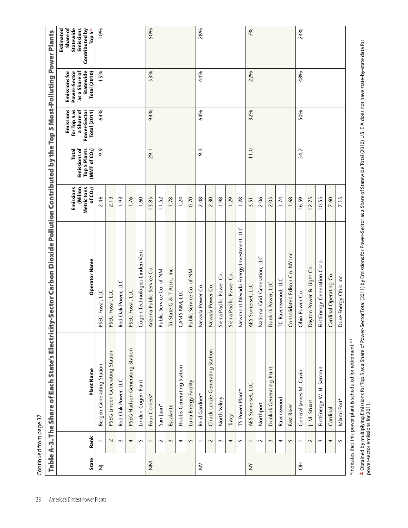| Table A-3. The Share of Each State's Electrici |                          |                                 |                                       |                                                            |                                                                                  |                                                                                |                                                                                    |                                                                             |
|------------------------------------------------|--------------------------|---------------------------------|---------------------------------------|------------------------------------------------------------|----------------------------------------------------------------------------------|--------------------------------------------------------------------------------|------------------------------------------------------------------------------------|-----------------------------------------------------------------------------|
| <b>State</b>                                   | Rank                     | Plant Name                      | Operator Name                         | Emissions<br>Millon<br>Metric tons<br>of CO <sub>2</sub> ) | <b>Top 5 Plants</b><br>Emissions of<br><b>Total</b><br>(MMT of CO <sub>2</sub> ) | Emissions<br>for Top 5 as<br>a Share of<br>Power-Sector<br><b>Total (2011)</b> | as a Share of<br>Statewide<br>Emissions for<br>Power-Sector<br><b>Total (2010)</b> | Emissions<br>Statewide<br>Contributed by<br>Top 5±<br>Estimated<br>Share of |
| $\overline{z}$                                 |                          | Bergen Generating Station       | PSEG Fossil, LLC                      | 2.46                                                       | 9.9                                                                              | 64%                                                                            | 15%                                                                                | 10%                                                                         |
|                                                | $\sim$                   | PSEG Linden Generating Station  | PSEG Fossil, LLC                      | 2.13                                                       |                                                                                  |                                                                                |                                                                                    |                                                                             |
|                                                | $\sim$                   | Red Oak Power, LLC              | Red Oak Power, LLC                    | 1.93                                                       |                                                                                  |                                                                                |                                                                                    |                                                                             |
|                                                | 4                        | PSEG Hudson Generating Station  | PSEG Fossil, LLC                      | 1.76                                                       |                                                                                  |                                                                                |                                                                                    |                                                                             |
|                                                | 5                        | Linden Cogen Plant              | Cogen Technologies Linden Vent        | 1.60                                                       |                                                                                  |                                                                                |                                                                                    |                                                                             |
| $\sum_{\mathsf{X}}$                            | $\overline{ }$           | Four Corners*                   | Arizona Public Service Co.            | 13.85                                                      | 29.1                                                                             | 94%                                                                            | 53%                                                                                | 50%                                                                         |
|                                                | $\sim$                   | San Juan*                       | Public Service Co. of NM              | 11.52                                                      |                                                                                  |                                                                                |                                                                                    |                                                                             |
|                                                | $\mathbf{\hat{z}}$       | Escalante                       | Tri-State G & T Assn., Inc.           | 1.78                                                       |                                                                                  |                                                                                |                                                                                    |                                                                             |
|                                                | 4                        | Hobbs Generating Station        | CAMS NM, LLC                          | 1.24                                                       |                                                                                  |                                                                                |                                                                                    |                                                                             |
|                                                | 5                        | Luna Energy Facility            | Public Service Co. of NM              | 0.70                                                       |                                                                                  |                                                                                |                                                                                    |                                                                             |
| $\geq$                                         | $\overline{ }$           | Reid Gardner*                   | Nevada Power Co.                      | 2.48                                                       | 9.3                                                                              | 64%                                                                            | 44%                                                                                | 28%                                                                         |
|                                                | $\sim$                   | Chuck Lenzie Generating Station | Nevada Power Co.                      | 2.30                                                       |                                                                                  |                                                                                |                                                                                    |                                                                             |
|                                                | 3                        | North Valmy                     | Sierra Pacific Power Co.              | 1.98                                                       |                                                                                  |                                                                                |                                                                                    |                                                                             |
|                                                | 4                        | Tracy                           | Sierra Pacific Power Co.              | 1.29                                                       |                                                                                  |                                                                                |                                                                                    |                                                                             |
|                                                | 5                        | TS Power Plant*                 | Newmont Nevada Energy Investment, LLC | 1.28                                                       |                                                                                  |                                                                                |                                                                                    |                                                                             |
| $\check{z}$                                    | $\overline{\phantom{0}}$ | AES Somerset, LLC               | AES Somerset, LLC                     | 3.51                                                       | 11.0                                                                             | 32%                                                                            | 22%                                                                                | 7%                                                                          |
|                                                | $\sim$                   | Northport                       | National Grid Generation, LLC         | 2.06                                                       |                                                                                  |                                                                                |                                                                                    |                                                                             |
|                                                | 3                        | Dunkirk Generating Plant        | Dunkirk Power, LLC                    | 2.05                                                       |                                                                                  |                                                                                |                                                                                    |                                                                             |
|                                                | 4                        | Ravenswood                      | TC Ravenswood, LLC                    | 1.74                                                       |                                                                                  |                                                                                |                                                                                    |                                                                             |
|                                                | 5                        | East River                      | Consolidated Edison Co. NY Inc.       | 1.68                                                       |                                                                                  |                                                                                |                                                                                    |                                                                             |
| $\overline{5}$                                 |                          | General James M. Gavin          | Ohio Power Co.                        | 16.59                                                      | 54.7                                                                             | 50%                                                                            | 48%                                                                                | 24%                                                                         |
|                                                | $\sim$                   | J. M. Stuart                    | Dayton Power & Light Co.              | 12.75                                                      |                                                                                  |                                                                                |                                                                                    |                                                                             |
|                                                | $\sim$                   | FirstEnergy W. H. Sammis        | FirstEnergy Generation Corp.          | 10.55                                                      |                                                                                  |                                                                                |                                                                                    |                                                                             |
|                                                | 4                        | Cardinal                        | Cardinal Operating Co.                | 7.60                                                       |                                                                                  |                                                                                |                                                                                    |                                                                             |
|                                                | $\sim$                   | Miami Fort*                     | Duke Energy Ohio Inc.                 | 7.15                                                       |                                                                                  |                                                                                |                                                                                    |                                                                             |

± Obtained by multiplying Emissions for Top 5 as a Share of Power-Sector 10(1) by Emissions for Power-Sector as a Share of Statewide Total (2010) U.S. EIA does not have state-by-state data for<br>power-sector emissions for 20 Obtained by multiplying Emissions for Top 5 as a Share of Power-Sector Total (2011) by Emissions for Power-Sector as a Share of Statewide Total (2010) U.S. EIA does not have state-by-state data for power-sector emissions for 2011.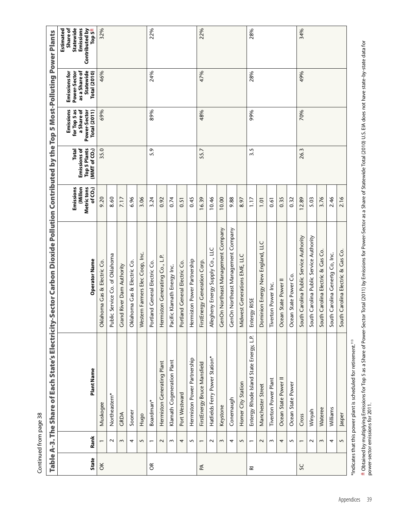| Зg |  |
|----|--|
|    |  |
|    |  |
| i  |  |
|    |  |
|    |  |
|    |  |
|    |  |
|    |  |
|    |  |
|    |  |
|    |  |
|    |  |
|    |  |
|    |  |
|    |  |
|    |  |
|    |  |
|    |  |
|    |  |
|    |  |

|                         |                          | Table A-3. The Share of Each State's Electrici                              | ty-Sector Carbon Dioxide Pollution Contributed by the Top 5 Most-Polluting |                                                             |                                                                           |                                                                                |                                                                                           | <b>Power Plants</b>                                                                |
|-------------------------|--------------------------|-----------------------------------------------------------------------------|----------------------------------------------------------------------------|-------------------------------------------------------------|---------------------------------------------------------------------------|--------------------------------------------------------------------------------|-------------------------------------------------------------------------------------------|------------------------------------------------------------------------------------|
| <b>State</b>            | Rank                     | Plant Name                                                                  | Operator Name                                                              | Emissions<br>(Millon<br>Metric tons<br>of CO <sub>2</sub> ) | Emissions of<br><b>Top 5 Plants</b><br>Total<br>(MMT of CO <sub>2</sub> ) | Emissions<br>for Top 5 as<br>a Share of<br>Power-Sector<br><b>Total (2011)</b> | Statewide<br>as a Share of<br><b>Emissions for</b><br>Power-Sector<br><b>Total (2010)</b> | Emissions<br>Statewide<br>Contributed by<br>Estimated<br>Share of<br>Top $5^{\pm}$ |
| ŏ                       |                          | Muskogee                                                                    | Oklahoma Gas & Electric Co.                                                | 9.20                                                        | 35.0                                                                      | 69%                                                                            | 46%                                                                                       | 32%                                                                                |
|                         | $\sim$                   | Northeastern*                                                               | Public Service Co. of Oklahoma                                             | 8.60                                                        |                                                                           |                                                                                |                                                                                           |                                                                                    |
|                         | $\sim$                   | GRDA                                                                        | Grand River Dam Authority                                                  | 7.17                                                        |                                                                           |                                                                                |                                                                                           |                                                                                    |
|                         | 4                        | Sooner                                                                      | Oklahoma Gas & Electric Co.                                                | 6.96                                                        |                                                                           |                                                                                |                                                                                           |                                                                                    |
|                         | 5                        | Hugo                                                                        | Western Farmers Elec Coop, Inc.                                            | 3.06                                                        |                                                                           |                                                                                |                                                                                           |                                                                                    |
| $\Im$                   | $\overline{ }$           | Boardman*                                                                   | Portland General Electric Co.                                              | 3.24                                                        | 5.9                                                                       | 89%                                                                            | 24%                                                                                       | 22%                                                                                |
|                         | $\sim$                   | Hermiston Generating Plant                                                  | Hermiston Generating Co., L.P.                                             | 0.92                                                        |                                                                           |                                                                                |                                                                                           |                                                                                    |
|                         | $\sim$                   | Klamath Cogeneration Plant                                                  | Pacific Klamath Energy Inc.                                                | 0.74                                                        |                                                                           |                                                                                |                                                                                           |                                                                                    |
|                         | 4                        | Port Westward                                                               | Portland General Electric Co.                                              | 0.51                                                        |                                                                           |                                                                                |                                                                                           |                                                                                    |
|                         | 5                        | Hermiston Power Partnership                                                 | Hermiston Power Partnership                                                | 0.45                                                        |                                                                           |                                                                                |                                                                                           |                                                                                    |
| $\mathbb{E}% _{z}$      | $\overline{\phantom{0}}$ | FirstEnergy Bruce Mansfield                                                 | FirstEnergy Generation Corp.                                               | 16.39                                                       | 55.7                                                                      | 48%                                                                            | 47%                                                                                       | 22%                                                                                |
|                         | $\sim$                   | Hatfields Ferry Power Station*                                              | Allegheny Energy Supply Co., LLC                                           | 10.46                                                       |                                                                           |                                                                                |                                                                                           |                                                                                    |
|                         | $\sim$                   | Keystone                                                                    | GenOn Northeast Management Company                                         | 10.00                                                       |                                                                           |                                                                                |                                                                                           |                                                                                    |
|                         | 4                        | Conemaugh                                                                   | GenOn Northeast Management Company                                         | 9.88                                                        |                                                                           |                                                                                |                                                                                           |                                                                                    |
|                         | 5                        | Homer City Station                                                          | Midwest Generations EME, LLC                                               | 8.97                                                        |                                                                           |                                                                                |                                                                                           |                                                                                    |
| $\overline{\mathbf{r}}$ | $\overline{ }$           | Entergy Rhode Island State Energy, L.P.                                     | Entergy RISE                                                               | 1.17                                                        | 3.5                                                                       | 99%                                                                            | 28%                                                                                       | 28%                                                                                |
|                         | $\sim$                   | Manchester Street                                                           | Dominion Energy New England, LLC                                           | 10.1                                                        |                                                                           |                                                                                |                                                                                           |                                                                                    |
|                         | ω                        | <b>Tiverton Power Plant</b>                                                 | Tiverton Power Inc.                                                        | 0.61                                                        |                                                                           |                                                                                |                                                                                           |                                                                                    |
|                         | 4                        | Ocean State Power II                                                        | Ocean State Power II                                                       | 0.35                                                        |                                                                           |                                                                                |                                                                                           |                                                                                    |
|                         | 5                        | Ocean State Power                                                           | Ocean State Power Co.                                                      | 0.32                                                        |                                                                           |                                                                                |                                                                                           |                                                                                    |
| SC                      | $\overline{ }$           | Cross                                                                       | South Carolina Public Service Authority                                    | 12.89                                                       | 26.3                                                                      | 70%                                                                            | 49%                                                                                       | 34%                                                                                |
|                         | $\sim$                   | Winyah                                                                      | South Carolina Public Service Authority                                    | 5.03                                                        |                                                                           |                                                                                |                                                                                           |                                                                                    |
|                         | 3                        | Wateree                                                                     | South Carolina Electric & Gas Co                                           | 3.76                                                        |                                                                           |                                                                                |                                                                                           |                                                                                    |
|                         | 4                        | Williams                                                                    | South Carolina Genertg Co, Inc.                                            | 2.46                                                        |                                                                           |                                                                                |                                                                                           |                                                                                    |
|                         | $\sqrt{2}$               | Jasper                                                                      | South Carolina Electric & Cas Co.                                          | 2.16                                                        |                                                                           |                                                                                |                                                                                           |                                                                                    |
|                         |                          | Indicates that this power plant is scheduled for retirement. <sup>113</sup> |                                                                            |                                                             |                                                                           |                                                                                |                                                                                           |                                                                                    |

\*Indicates that this power plant is scheduled for retirement.113

±Obtained by multiplying Emissions for Top 5 as a Share of Power-Sector Total (2011) by Emissions for Power-Sector as a Share of Statewide Total (2010) U.S. EIA does not have state-by-state data for<br>power-sector emissions Obtained by multiplying Emissions for Top 5 as a Share of Power-Sector Total (2011) by Emissions for Power-Sector as a Share of Statewide Total (2010) U.S. EIA does not have state-by-state data for power-sector emissions for 2011.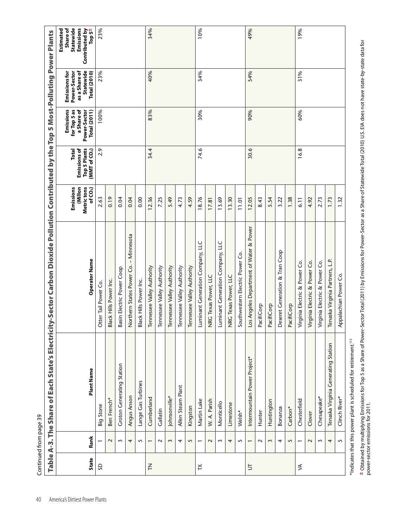|                                  |                          |                                     |                                          |                                                          |                                                                 | Emissions                                                         | <b>Emissions for</b>                                              | Estimated<br>Share of                              |
|----------------------------------|--------------------------|-------------------------------------|------------------------------------------|----------------------------------------------------------|-----------------------------------------------------------------|-------------------------------------------------------------------|-------------------------------------------------------------------|----------------------------------------------------|
| <b>State</b>                     | Rank                     | Plant Name                          | Operator Name                            | Emissions<br>Millon<br>Metric tons<br>of CO <sub>2</sub> | <b>Top 5 Plants</b><br>Emissions of<br>Total<br>(MMT of $CO2$ ) | for Top 5 as<br>a Share of<br><b>Total (2011)</b><br>Power-Sector | as a Share of<br>Statewide<br>Power-Sector<br><b>Total (2010)</b> | Emissions<br>Statewide<br>Contributed by<br>Top 5± |
| SD                               | $\overline{ }$           | Big Stone                           | Otter Tail Power Co.                     | 2.63                                                     | 2.9                                                             | 100%                                                              | 23%                                                               | 23%                                                |
|                                  | $\sim$                   | Ben French*                         | Black Hills Power Inc.                   | 0.19                                                     |                                                                 |                                                                   |                                                                   |                                                    |
|                                  | $\sim$                   | <b>Croton Generating Station</b>    | Basin Electric Power Coop                | 0.04                                                     |                                                                 |                                                                   |                                                                   |                                                    |
|                                  | 4                        | Angus Anson                         | - Minnesota<br>Northern States Power Co. | 0.04                                                     |                                                                 |                                                                   |                                                                   |                                                    |
|                                  | 5                        | Lange Gas Turbines                  | Black Hills Power Inc.                   | 0.00                                                     |                                                                 |                                                                   |                                                                   |                                                    |
| $\zeta$                          | $\overline{ }$           | Cumberland                          | Tennessee Valley Authority               | 12.36                                                    | 34.4                                                            | 83%                                                               | 40%                                                               | 34%                                                |
|                                  | $\sim$                   | Gallatin                            | Tennessee Valley Authority               | 7.25                                                     |                                                                 |                                                                   |                                                                   |                                                    |
|                                  | $\sim$                   | Johnsonville*                       | Tennessee Valley Authority               | 5.49                                                     |                                                                 |                                                                   |                                                                   |                                                    |
|                                  | 4                        | Allen Steam Plant                   | Tennessee Valley Authority               | 4.73                                                     |                                                                 |                                                                   |                                                                   |                                                    |
|                                  | 5                        | Kingston                            | Tennessee Valley Authority               | 4.59                                                     |                                                                 |                                                                   |                                                                   |                                                    |
| $\boldsymbol{\check{\sqsubset}}$ | $\overline{ }$           | Martin Lake                         | Luminant Generation Company, LLC         | 18.76                                                    | 74.6                                                            | 30%                                                               | 34%                                                               | 10%                                                |
|                                  | $\sim$                   | W. A. Parish                        | NRG Texas Power, LLC                     | 17.81                                                    |                                                                 |                                                                   |                                                                   |                                                    |
|                                  | 3                        | Monticello                          | Luminant Generation Company, LLC         | 13.69                                                    |                                                                 |                                                                   |                                                                   |                                                    |
|                                  | 4                        | Limestone                           | NRG Texas Power, LLC                     | 13.30                                                    |                                                                 |                                                                   |                                                                   |                                                    |
|                                  | 5                        | Welsh*                              | Southwestern Electric Power Co.          | 11.01                                                    |                                                                 |                                                                   |                                                                   |                                                    |
| $\overline{5}$                   | $\overline{\phantom{0}}$ | Intermountain Power Project*        | Los Angeles Department of Water & Power  | 12.05                                                    | 30.6                                                            | 90%                                                               | 54%                                                               | 49%                                                |
|                                  | $\sim$                   | Hunter                              | PacifiCorp                               | 8.43                                                     |                                                                 |                                                                   |                                                                   |                                                    |
|                                  | 3                        | Huntington                          | PacifiCorp                               | 5.54                                                     |                                                                 |                                                                   |                                                                   |                                                    |
|                                  | 4                        | Bonanza                             | & Tran Coop<br>Deseret Generation        | 3.22                                                     |                                                                 |                                                                   |                                                                   |                                                    |
|                                  | 5                        | Carbon*                             | PacifiCorp                               | 1.38                                                     |                                                                 |                                                                   |                                                                   |                                                    |
| ≸                                | $\overline{\phantom{0}}$ | Chesterfield                        | Virginia Electric & Power Co.            | 6.11                                                     | 16.8                                                            | 60%                                                               | 31%                                                               | 19%                                                |
|                                  | $\sim$                   | Clover                              | Virginia Electric & Power Co.            | 4.92                                                     |                                                                 |                                                                   |                                                                   |                                                    |
|                                  | 3                        | Chesapeake*                         | Virginia Electric & Power Co.            | 2.73                                                     |                                                                 |                                                                   |                                                                   |                                                    |
|                                  | 4                        | Tenaska Virginia Generating Station | Tenaska Virginia Partners, L.P.          | 1.73                                                     |                                                                 |                                                                   |                                                                   |                                                    |
|                                  | $\sim$                   | Clinch River*                       | Appalachian Power Co.                    | 1.32                                                     |                                                                 |                                                                   |                                                                   |                                                    |

± Obtained by multiplying Emissions for Top 5 as a Share of Power-Sector 10(1) by Emissions for Power-Sector as a Share of Statewide Total (2010) U.S. EIA does not have state-by-state data for<br>power-sector emissions for 20 Obtained by multiplying Emissions for Top 5 as a Share of Power-Sector Total (2011) by Emissions for Power-Sector as a Share of Statewide Total (2010) U.S. EIA does not have state-by-state data for power-sector emissions for 2011.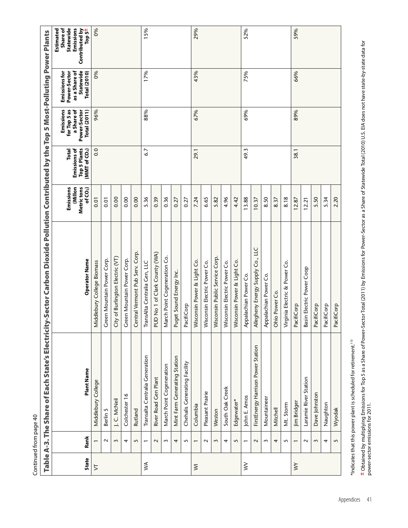| Continued from page 40 |                |                                    |                                                                                                   |                                                |                                                                 |                                                                                |                                                                                           |                                                                                     |
|------------------------|----------------|------------------------------------|---------------------------------------------------------------------------------------------------|------------------------------------------------|-----------------------------------------------------------------|--------------------------------------------------------------------------------|-------------------------------------------------------------------------------------------|-------------------------------------------------------------------------------------|
| <b>Table</b>           |                |                                    | A-3. The Share of Each State's Electricity-Sector Carbon Dioxide Pollution Contributed by the Top |                                                |                                                                 |                                                                                | 5 Most-Polluting Power Plants                                                             |                                                                                     |
| <b>State</b>           | Rank           | Plant Name                         | Operator Name                                                                                     | Emissions<br>Metric tons<br>(Millon<br>of CO2) | Emissions of<br><b>Top 5 Plants</b><br>Total<br>(MMT of $CO2$ ) | Emissions<br>for Top 5 as<br>a Share of<br>Power-Sector<br><b>Total (2011)</b> | Statewide<br><b>Emissions for</b><br>Power-Sector<br>as a Share of<br><b>Total (2010)</b> | Emissions<br>Statewide<br>Estimated<br>Share of<br>Contributed by<br>±s do <u>l</u> |
| $\geq$                 | $\overline{ }$ | Middlebury College                 | Middlebury College Biomass                                                                        | $\overline{0}$ .                               | 0.0                                                             | 96%                                                                            | 0%                                                                                        | 0%                                                                                  |
|                        | $\sim$         | Berlin 5                           | Green Mountain Power Corp.                                                                        | 0.01                                           |                                                                 |                                                                                |                                                                                           |                                                                                     |
|                        | $\sim$         | J.C. McNeil                        | City of Burlington Electric (VT)                                                                  | 0.00                                           |                                                                 |                                                                                |                                                                                           |                                                                                     |
|                        | 4              | Colchester 16                      | Green Mountain Power Corp.                                                                        | 0.00                                           |                                                                 |                                                                                |                                                                                           |                                                                                     |
|                        | 5              | Rutland                            | entral Vermont Pub Serv. Corp.<br>U                                                               | 0.00                                           |                                                                 |                                                                                |                                                                                           |                                                                                     |
| ≶                      | $\overline{ }$ | Transalta Centralia Generation     | TransAlta Centralia Gen, LLC                                                                      | 5.36                                           | 6.7                                                             | 88%                                                                            | 17%                                                                                       | 15%                                                                                 |
|                        | $\sim$         | River Road Gen Plant               | PUD No 1 of Clark County (WA)                                                                     | 0.39                                           |                                                                 |                                                                                |                                                                                           |                                                                                     |
|                        | $\sim$         | March Point Cogeneration           | March Point Cogeneration Co                                                                       | 0.36                                           |                                                                 |                                                                                |                                                                                           |                                                                                     |
|                        | 4              | Mint Farm Generating Station       | Puget Sound Energy Inc.                                                                           | 0.27                                           |                                                                 |                                                                                |                                                                                           |                                                                                     |
|                        | 5              | Chehalis Generating Facility       | PacifiCorp                                                                                        | 0.27                                           |                                                                 |                                                                                |                                                                                           |                                                                                     |
| $\overline{\ge}$       | $\overline{ }$ | Columbia                           | Wisconsin Power & Light Co.                                                                       | 7.24                                           | 29.1                                                            | 67%                                                                            | 43%                                                                                       | 29%                                                                                 |
|                        | $\sim$         | Pleasant Prairie                   | Wisconsin Electric Power Co.                                                                      | 6.65                                           |                                                                 |                                                                                |                                                                                           |                                                                                     |
|                        | $\sim$         | Weston                             | Wisconsin Public Service Corp                                                                     | 5.82                                           |                                                                 |                                                                                |                                                                                           |                                                                                     |
|                        | 4              | South Oak Creek                    | Wisconsin Electric Power Co.                                                                      | 4.96                                           |                                                                 |                                                                                |                                                                                           |                                                                                     |
|                        | 5              | Edgewater*                         | Wisconsin Power & Light Co.                                                                       | 4.42                                           |                                                                 |                                                                                |                                                                                           |                                                                                     |
| $\geqslant$            | $\overline{ }$ | John E. Amos                       | Appalachian Power Co.                                                                             | 13.88                                          | 49.3                                                            | 69%                                                                            | 75%                                                                                       | 52%                                                                                 |
|                        | $\sim$         | FirstEnergy Harrison Power Station | Allegheny Energy Supply Co., LLC                                                                  | 10.37                                          |                                                                 |                                                                                |                                                                                           |                                                                                     |
|                        | $\sim$         | Mountaineer                        | Appalachian Power Co                                                                              | 8.50                                           |                                                                 |                                                                                |                                                                                           |                                                                                     |
|                        | 4              | Mitchell                           | Ohio Power Co.                                                                                    | 8.37                                           |                                                                 |                                                                                |                                                                                           |                                                                                     |
|                        | 5              | Mt. Storm                          | Virginia Electric & Power Co.                                                                     | 8.18                                           |                                                                 |                                                                                |                                                                                           |                                                                                     |
| $\geq$                 | $\overline{ }$ | Jim Bridger                        | PacifiCorp                                                                                        | 12.87                                          | 38.1                                                            | 89%                                                                            | 66%                                                                                       | 59%                                                                                 |
|                        | $\sim$         | Laramie River Station              | Basin Electric Power Coop                                                                         | 12.21                                          |                                                                 |                                                                                |                                                                                           |                                                                                     |
|                        | $\sim$         | Dave Johnston                      | PacifiCorp                                                                                        | 5.50                                           |                                                                 |                                                                                |                                                                                           |                                                                                     |
|                        | 4              | Naughton                           | PacifiCorp                                                                                        | 5.34                                           |                                                                 |                                                                                |                                                                                           |                                                                                     |
|                        | 5              | Wyodak                             | PacifiCorp                                                                                        | 2.20                                           |                                                                 |                                                                                |                                                                                           |                                                                                     |

\*Indicates that this power plant is scheduled for retirement.<sup>113</sup> \*Indicates that this power plant is scheduled for retirement.113

**±** Obtained by multiplying Emissions for Top 5 as a Share of Power-Sector Total (2011) by Emissions for Power-Sector as a Share of Statewide Total (2010) U.S. EIA does not have state-by-state data for<br>power-sector emissio Obtained by multiplying Emissions for Top 5 as a Share of Power-Sector Total (2011) by Emissions for Power-Sector as a Share of Statewide Total (2010) U.S. EIA does not have state-by-state data for power-sector emissions for 2011.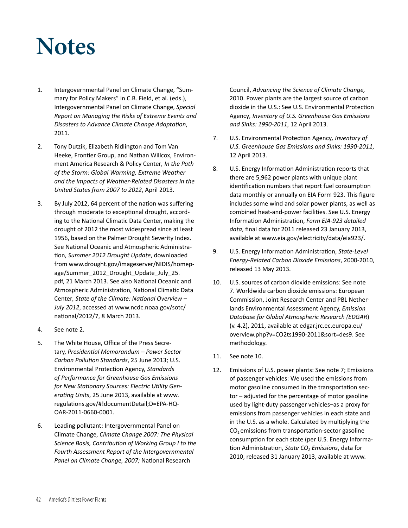### **Notes**

- 1. Intergovernmental Panel on Climate Change, "Summary for Policy Makers" in C.B. Field, et al. (eds.), Intergovernmental Panel on Climate Change, *Special Report on Managing the Risks of Extreme Events and Disasters to Advance Climate Change Adaptation*, 2011.
- 2. Tony Dutzik, Elizabeth Ridlington and Tom Van Heeke, Frontier Group, and Nathan Willcox, Environment America Research & Policy Center*, In the Path of the Storm: Global Warming, Extreme Weather and the Impacts of Weather-Related Disasters in the United States from 2007 to 2012*, April 2013.
- 3. By July 2012, 64 percent of the nation was suffering through moderate to exceptional drought, according to the National Climatic Data Center, making the drought of 2012 the most widespread since at least 1956, based on the Palmer Drought Severity Index. See National Oceanic and Atmospheric Administration, *Summer 2012 Drought Update*, downloaded from www.drought.gov/imageserver/NIDIS/homepage/Summer\_2012\_Drought\_Update\_July\_25. pdf, 21 March 2013. See also National Oceanic and Atmospheric Administration, National Climatic Data Center*, State of the Climate: National Overview – July 2012*, accessed at www.ncdc.noaa.gov/sotc/ national/2012/7, 8 March 2013.
- 4. See note 2.
- 5. The White House, Office of the Press Secretary, *Presidential Memorandum – Power Sector Carbon Pollution Standards*, 25 June 2013; U.S. Environmental Protection Agency, *Standards of Performance for Greenhouse Gas Emissions for New Stationary Sources: Electric Utility Generating Units*, 25 June 2013, available at www. regulations.gov/#!documentDetail;D=EPA-HQ-OAR-2011-0660-0001.
- 6. Leading pollutant: Intergovernmental Panel on Climate Change, *Climate Change 2007: The Physical Science Basis, Contribution of Working Group I to the Fourth Assessment Report of the Intergovernmental Panel on Climate Change, 2007;* National Research

Council, *Advancing the Science of Climate Change,*  2010. Power plants are the largest source of carbon dioxide in the U.S.: See U.S. Environmental Protection Agency*, Inventory of U.S. Greenhouse Gas Emissions and Sinks: 1990-2011*, 12 April 2013.

- 7. U.S. Environmental Protection Agency*, Inventory of U.S. Greenhouse Gas Emissions and Sinks: 1990-2011*, 12 April 2013.
- 8. U.S. Energy Information Administration reports that there are 5,962 power plants with unique plant identification numbers that report fuel consumption data monthly or annually on EIA Form 923. This figure includes some wind and solar power plants, as well as combined heat-and-power facilities. See U.S. Energy Information Administration, *Form EIA-923 detailed data*, final data for 2011 released 23 January 2013, available at www.eia.gov/electricity/data/eia923/.
- 9. U.S. Energy Information Administration, *State-Level Energy-Related Carbon Dioxide Emissions*, 2000-2010, released 13 May 2013.
- 10. U.S. sources of carbon dioxide emissions: See note 7. Worldwide carbon dioxide emissions: European Commission, Joint Research Center and PBL Netherlands Environmental Assessment Agency, *Emission Database for Global Atmospheric Research (EDGAR*) (v. 4.2), 2011, available at edgar.jrc.ec.europa.eu/ overview.php?v=CO2ts1990-2011&sort=des9. See methodology.
- 11. See note 10.
- 12. Emissions of U.S. power plants: See note 7; Emissions of passenger vehicles: We used the emissions from motor gasoline consumed in the transportation sector – adjusted for the percentage of motor gasoline used by light-duty passenger vehicles–as a proxy for emissions from passenger vehicles in each state and in the U.S. as a whole. Calculated by multiplying the  $CO<sub>2</sub>$  emissions from transportation-sector gasoline consumption for each state (per U.S. Energy Information Administration, *State CO<sup>2</sup> Emissions*, data for 2010, released 31 January 2013, available at www.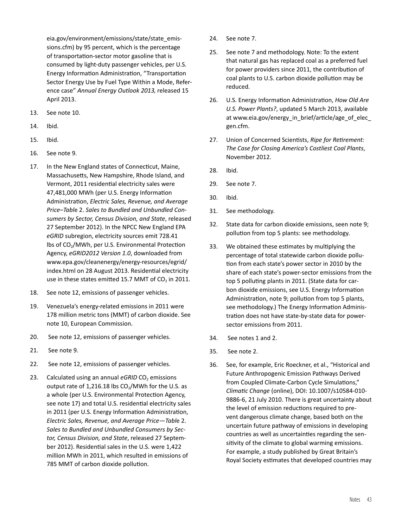eia.gov/environment/emissions/state/state\_emissions.cfm) by 95 percent, which is the percentage of transportation-sector motor gasoline that is consumed by light-duty passenger vehicles, per U.S. Energy Information Administration, "Transportation Sector Energy Use by Fuel Type Within a Mode, Reference case" *Annual Energy Outlook 2013,* released 15 April 2013.

- 13. See note 10.
- 14. Ibid.
- 15. Ibid.
- 16. See note 9.
- 17. In the New England states of Connecticut, Maine, Massachusetts, New Hampshire, Rhode Island, and Vermont, 2011 residential electricity sales were 47,481,000 MWh (per U.S. Energy Information Administration, *Electric Sales, Revenue, and Average Price–Tabl*e 2. *Sales to Bundled and Unbundled Consumers by Sector, Census Division, and State*, released 27 September 2012). In the NPCC New England EPA *eGRID* subregion, electricity sources emit 728.41 lbs of CO<sub>2</sub>/MWh, per U.S. Environmental Protection Agency, *eGRID2012 Version 1.0*, downloaded from www.epa.gov/cleanenergy/energy-resources/egrid/ index.html on 28 August 2013. Residential electricity use in these states emitted 15.7 MMT of  $CO<sub>2</sub>$  in 2011.
- 18. See note 12, emissions of passenger vehicles.
- 19. Venezuela's energy-related emissions in 2011 were 178 million metric tons (MMT) of carbon dioxide. See note 10, European Commission.
- 20. See note 12, emissions of passenger vehicles.
- 21. See note 9.
- 22. See note 12, emissions of passenger vehicles.
- 23. Calculated using an annual *eGRID* CO<sub>2</sub> emissions output rate of 1,216.18 lbs  $CO<sub>2</sub>/MWh$  for the U.S. as a whole (per U.S. Environmental Protection Agency, see note 17) and total U.S. residential electricity sales in 2011 (per U.S. Energy Information Administration, *Electric Sales, Revenue, and Average Price—Tabl*e 2. *Sales to Bundled and Unbundled Consumers by Sector, Census Division, and State*, released 27 September 2012). Residential sales in the U.S. were 1,422 million MWh in 2011, which resulted in emissions of 785 MMT of carbon dioxide pollution.
- 24. See note 7.
- 25. See note 7 and methodology. Note: To the extent that natural gas has replaced coal as a preferred fuel for power providers since 2011, the contribution of coal plants to U.S. carbon dioxide pollution may be reduced.
- 26. U.S. Energy Information Administration, *How Old Are U.S. Power Plants?*, updated 5 March 2013, available at www.eia.gov/energy\_in\_brief/article/age\_of\_elec gen.cfm.
- 27. Union of Concerned Scientists, *Ripe for Retirement: The Case for Closing America's Costliest Coal Plants*, November 2012.
- 28. Ibid.
- 29. See note 7.
- 30. Ibid.
- 31. See methodology.
- 32. State data for carbon dioxide emissions, seen note 9; pollution from top 5 plants: see methodology.
- 33. We obtained these estimates by multiplying the percentage of total statewide carbon dioxide pollution from each state's power sector in 2010 by the share of each state's power-sector emissions from the top 5 polluting plants in 2011. (State data for carbon dioxide emissions, see U.S. Energy Information Administration, note 9; pollution from top 5 plants, see methodology.) The Energy Information Administration does not have state-by-state data for powersector emissions from 2011.
- 34. See notes 1 and 2.
- 35. See note 2.
- 36. See, for example, Eric Roeckner, et al., "Historical and Future Anthropogenic Emission Pathways Derived from Coupled Climate-Carbon Cycle Simulations," *Climatic Change* (online), DOI: 10.1007/s10584-010- 9886-6, 21 July 2010. There is great uncertainty about the level of emission reductions required to prevent dangerous climate change, based both on the uncertain future pathway of emissions in developing countries as well as uncertainties regarding the sensitivity of the climate to global warming emissions. For example, a study published by Great Britain's Royal Society estimates that developed countries may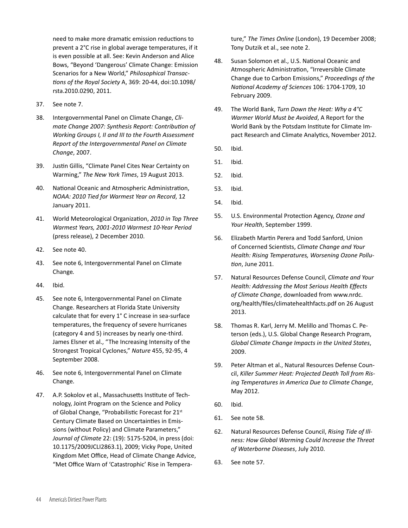need to make more dramatic emission reductions to prevent a 2°C rise in global average temperatures, if it is even possible at all. See: Kevin Anderson and Alice Bows, "Beyond 'Dangerous' Climate Change: Emission Scenarios for a New World," *Philosophical Transactions of the Royal Society* A, 369: 20-44, doi:10.1098/ rsta.2010.0290, 2011.

- 37. See note 7.
- 38. Intergovernmental Panel on Climate Change, *Climate Change 2007: Synthesis Report: Contribution of Working Groups I, II and III to the Fourth Assessment Report of the Intergovernmental Panel on Climate Change*, 2007.
- 39. Justin Gillis, "Climate Panel Cites Near Certainty on Warming," *The New York Times*, 19 August 2013.
- 40. National Oceanic and Atmospheric Administration, *NOAA: 2010 Tied for Warmest Year on Record*, 12 January 2011.
- 41. World Meteorological Organization, *2010 in Top Three Warmest Years, 2001-2010 Warmest 10-Year Period* (press release), 2 December 2010.
- 42. See note 40.
- 43. See note 6, Intergovernmental Panel on Climate Change*.*
- 44. Ibid.
- 45. See note 6, Intergovernmental Panel on Climate Change. Researchers at Florida State University calculate that for every 1° C increase in sea-surface temperatures, the frequency of severe hurricanes (category 4 and 5) increases by nearly one-third. James Elsner et al., "The Increasing Intensity of the Strongest Tropical Cyclones," *Nature* 455, 92-95, 4 September 2008.
- 46. See note 6, Intergovernmental Panel on Climate Change.
- 47. A.P. Sokolov et al., Massachusetts Institute of Technology, Joint Program on the Science and Policy of Global Change, "Probabilistic Forecast for 21st Century Climate Based on Uncertainties in Emissions (without Policy) and Climate Parameters," *Journal of Climate* 22: (19): 5175-5204, in press (doi: 10.1175/2009JCLI2863.1), 2009; Vicky Pope, United Kingdom Met Office, Head of Climate Change Advice, "Met Office Warn of 'Catastrophic' Rise in Tempera-

ture," *The Times Online* (London), 19 December 2008; Tony Dutzik et al., see note 2.

- 48. Susan Solomon et al., U.S. National Oceanic and Atmospheric Administration, "Irreversible Climate Change due to Carbon Emissions," *Proceedings of the National Academy of Sciences* 106: 1704-1709, 10 February 2009.
- 49. The World Bank, *Turn Down the Heat: Why a 4°C Warmer World Must be Avoided*, A Report for the World Bank by the Potsdam Institute for Climate Impact Research and Climate Analytics, November 2012.
- 50. Ibid.
- 51. Ibid.
- 52. Ibid.
- 53. Ibid.
- 54. Ibid.
- 55. U.S. Environmental Protection Agency, *Ozone and Your Health*, September 1999.
- 56. Elizabeth Martin Perera and Todd Sanford, Union of Concerned Scientists, *Climate Change and Your Health: Rising Temperatures, Worsening Ozone Pollution*, June 2011.
- 57. Natural Resources Defense Council, *Climate and Your Health: Addressing the Most Serious Health Effects of Climate Change*, downloaded from www.nrdc. org/health/files/climatehealthfacts.pdf on 26 August 2013.
- 58. Thomas R. Karl, Jerry M. Melillo and Thomas C. Peterson (eds.), U.S. Global Change Research Program, *Global Climate Change Impacts in the United States*, 2009.
- 59. Peter Altman et al., Natural Resources Defense Council, *Killer Summer Heat: Projected Death Toll from Rising Temperatures in America Due to Climate Change*, May 2012.
- 60. Ibid.
- 61. See note 58.
- 62. Natural Resources Defense Council, *Rising Tide of Illness: How Global Warming Could Increase the Threat of Waterborne Diseases*, July 2010.
- 63. See note 57.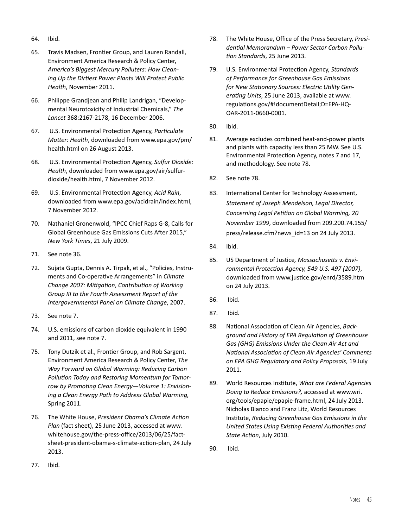- 64. Ibid.
- 65. Travis Madsen, Frontier Group, and Lauren Randall, Environment America Research & Policy Center, *America's Biggest Mercury Polluters: How Cleaning Up the Dirtiest Power Plants Will Protect Public Health*, November 2011.
- 66. Philippe Grandjean and Philip Landrigan, "Developmental Neurotoxicity of Industrial Chemicals," *The Lancet* 368:2167-2178, 16 December 2006.
- 67. U.S. Environmental Protection Agency, *Particulate Matter: Health*, downloaded from www.epa.gov/pm/ health.html on 26 August 2013.
- 68. U.S. Environmental Protection Agency, *Sulfur Dioxide: Health*, downloaded from www.epa.gov/air/sulfurdioxide/health.html, 7 November 2012.
- 69. U.S. Environmental Protection Agency, *Acid Rain*, downloaded from www.epa.gov/acidrain/index.html, 7 November 2012.
- 70. Nathaniel Gronenwold, "IPCC Chief Raps G-8, Calls for Global Greenhouse Gas Emissions Cuts After 2015," *New York Times*, 21 July 2009.
- 71. See note 36.
- 72. Sujata Gupta, Dennis A. Tirpak, et al., "Policies, Instruments and Co-operative Arrangements" in *Climate Change 2007: Mitigation*, *Contribution of Working Group III to the Fourth Assessment Report of the Intergovernmental Panel on Climate Change*, 2007.
- 73. See note 7.
- 74. U.S. emissions of carbon dioxide equivalent in 1990 and 2011, see note 7.
- 75. Tony Dutzik et al., Frontier Group, and Rob Sargent, Environment America Research & Policy Center, *The Way Forward on Global Warming: Reducing Carbon Pollution Today and Restoring Momentum for Tomorrow by Promoting Clean Energy—Volume 1: Envisioning a Clean Energy Path to Address Global Warming,*  Spring 2011.
- 76. The White House, *President Obama's Climate Action Plan* (fact sheet), 25 June 2013, accessed at www. whitehouse.gov/the-press-office/2013/06/25/factsheet-president-obama-s-climate-action-plan, 24 July 2013.
- 78. The White House, Office of the Press Secretary, *Presidential Memorandum – Power Sector Carbon Pollution Standards*, 25 June 2013.
- 79. U.S. Environmental Protection Agency, *Standards of Performance for Greenhouse Gas Emissions for New Stationary Sources: Electric Utility Generating Units*, 25 June 2013, available at www. regulations.gov/#!documentDetail;D=EPA-HQ-OAR-2011-0660-0001.
- 80. Ibid.
- 81. Average excludes combined heat-and-power plants and plants with capacity less than 25 MW. See U.S. Environmental Protection Agency, notes 7 and 17, and methodology. See note 78.
- 82. See note 78.
- 83. International Center for Technology Assessment, *Statement of Joseph Mendelson, Legal Director, Concerning Legal Petition on Global Warming, 20 November 1999*, downloaded from 209.200.74.155/ press/release.cfm?news\_id=13 on 24 July 2013.
- 84. Ibid.
- 85. US Department of Justice*, Massachusetts v. Environmental Protection Agency, 549 U.S. 497 (2007)*, downloaded from www.justice.gov/enrd/3589.htm on 24 July 2013.
- 86. Ibid.
- 87. Ibid.
- 88. National Association of Clean Air Agencies, *Background and History of EPA Regulation of Greenhouse Gas (GHG) Emissions Under the Clean Air Act and National Association of Clean Air Agencies' Comments on EPA GHG Regulatory and Policy Proposals*, 19 July 2011.
- 89. World Resources Institute, *What are Federal Agencies Doing to Reduce Emissions?,* accessed at www.wri. org/tools/epapie/epapie-frame.html, 24 July 2013. Nicholas Bianco and Franz Litz, World Resources Institute, *Reducing Greenhouse Gas Emissions in the United States Using Existing Federal Authorities and State Action*, July 2010.
- 90. Ibid.

77. Ibid.